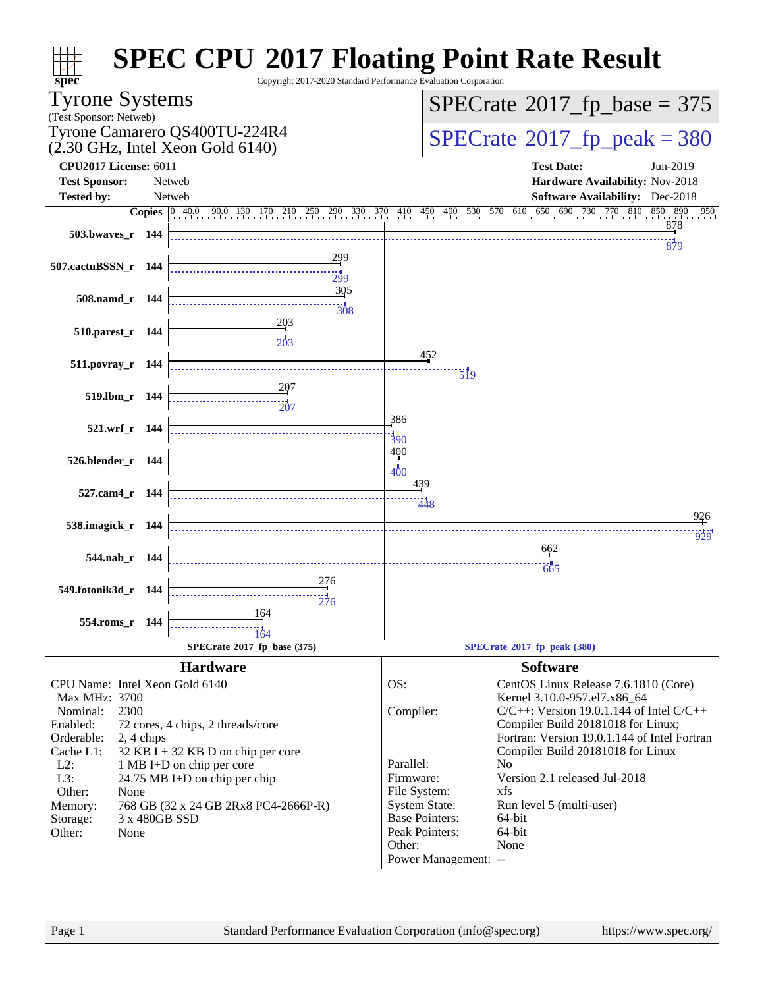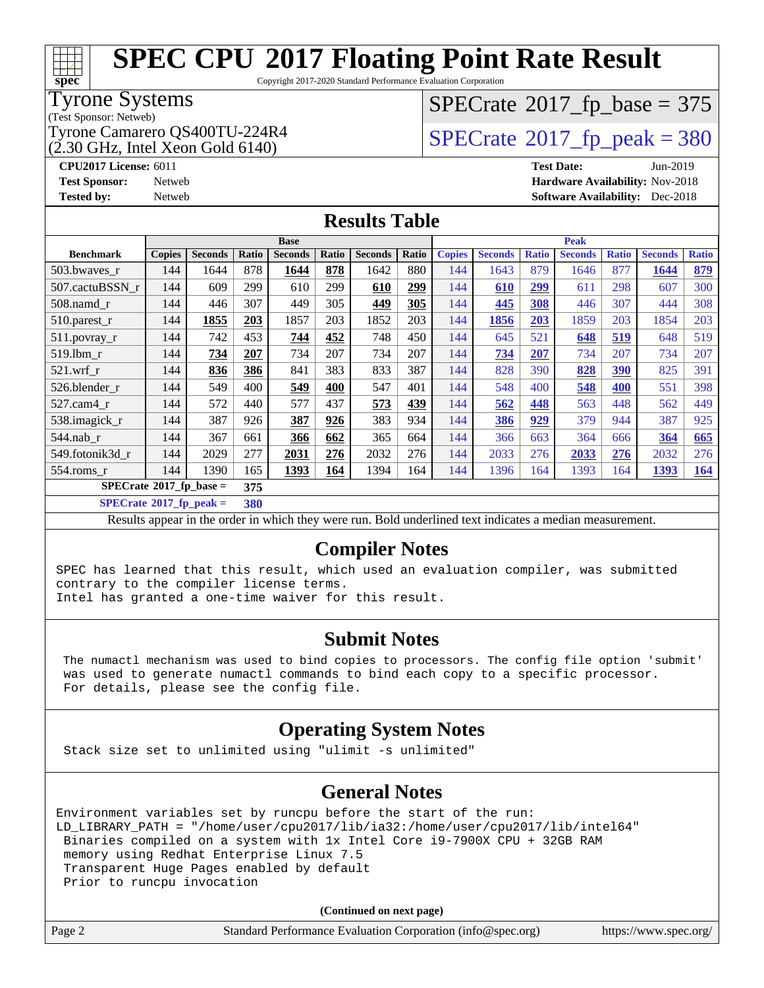# **[spec](http://www.spec.org/)**

# **[SPEC CPU](http://www.spec.org/auto/cpu2017/Docs/result-fields.html#SPECCPU2017FloatingPointRateResult)[2017 Floating Point Rate Result](http://www.spec.org/auto/cpu2017/Docs/result-fields.html#SPECCPU2017FloatingPointRateResult)**

Copyright 2017-2020 Standard Performance Evaluation Corporation

### Tyrone Systems

(Test Sponsor: Netweb)

 $(2.30 \text{ GHz}, \text{Intel Xeon}$  Gold 6140)

# $SPECTate$ <sup>®</sup>[2017\\_fp\\_base =](http://www.spec.org/auto/cpu2017/Docs/result-fields.html#SPECrate2017fpbase) 375

Tyrone Camarero QS400TU-224R4  $\vert$  [SPECrate](http://www.spec.org/auto/cpu2017/Docs/result-fields.html#SPECrate2017fppeak)®[2017\\_fp\\_peak = 3](http://www.spec.org/auto/cpu2017/Docs/result-fields.html#SPECrate2017fppeak)80

**[CPU2017 License:](http://www.spec.org/auto/cpu2017/Docs/result-fields.html#CPU2017License)** 6011 **[Test Date:](http://www.spec.org/auto/cpu2017/Docs/result-fields.html#TestDate)** Jun-2019 **[Test Sponsor:](http://www.spec.org/auto/cpu2017/Docs/result-fields.html#TestSponsor)** Netweb **[Hardware Availability:](http://www.spec.org/auto/cpu2017/Docs/result-fields.html#HardwareAvailability)** Nov-2018 **[Tested by:](http://www.spec.org/auto/cpu2017/Docs/result-fields.html#Testedby)** Netweb **[Software Availability:](http://www.spec.org/auto/cpu2017/Docs/result-fields.html#SoftwareAvailability)** Dec-2018

### **[Results Table](http://www.spec.org/auto/cpu2017/Docs/result-fields.html#ResultsTable)**

|                                               | <b>Base</b>   |                |              |                |       | <b>Peak</b>    |       |               |                |              |                |              |                |              |
|-----------------------------------------------|---------------|----------------|--------------|----------------|-------|----------------|-------|---------------|----------------|--------------|----------------|--------------|----------------|--------------|
| <b>Benchmark</b>                              | <b>Copies</b> | <b>Seconds</b> | <b>Ratio</b> | <b>Seconds</b> | Ratio | <b>Seconds</b> | Ratio | <b>Copies</b> | <b>Seconds</b> | <b>Ratio</b> | <b>Seconds</b> | <b>Ratio</b> | <b>Seconds</b> | <b>Ratio</b> |
| 503.bwayes r                                  | 144           | 1644           | 878          | 1644           | 878   | 1642           | 880   | 144           | 1643           | 879          | 1646           | 877          | 1644           | 879          |
| 507.cactuBSSN r                               | 144           | 609            | 299          | 610            | 299   | 610            | 299   | 144           | 610            | 299          | 611            | 298          | 607            | 300          |
| $508$ .namd $r$                               | 144           | 446            | 307          | 449            | 305   | 449            | 305   | 144           | 445            | 308          | 446            | 307          | 444            | 308          |
| 510.parest_r                                  | 144           | 1855           | 203          | 1857           | 203   | 1852           | 203   | 144           | 1856           | 203          | 1859           | 203          | 1854           | 203          |
| 511.povray_r                                  | 144           | 742            | 453          | 744            | 452   | 748            | 450   | 144           | 645            | 521          | 648            | 519          | 648            | 519          |
| $519.1$ bm r                                  | 144           | 734            | 207          | 734            | 207   | 734            | 207   | 144           | 734            | 207          | 734            | 207          | 734            | 207          |
| $521$ .wrf r                                  | 144           | 836            | 386          | 841            | 383   | 833            | 387   | 144           | 828            | 390          | 828            | 390          | 825            | 391          |
| 526.blender r                                 | 144           | 549            | 400          | 549            | 400   | 547            | 401   | 144           | 548            | 400          | 548            | 400          | 551            | 398          |
| $527.cam4_r$                                  | 144           | 572            | 440          | 577            | 437   | 573            | 439   | 144           | 562            | 448          | 563            | 448          | 562            | 449          |
| 538.imagick_r                                 | 144           | 387            | 926          | 387            | 926   | 383            | 934   | 144           | 386            | 929          | 379            | 944          | 387            | 925          |
| $544$ .nab r                                  | 144           | 367            | 661          | 366            | 662   | 365            | 664   | 144           | 366            | 663          | 364            | 666          | 364            | 665          |
| 549.fotonik3d r                               | 144           | 2029           | 277          | 2031           | 276   | 2032           | 276   | 144           | 2033           | 276          | 2033           | 276          | 2032           | 276          |
| 554.roms r                                    | 144           | 1390           | 165          | 1393           | 164   | 1394           | 164   | 144           | 1396           | 164          | 1393           | 164          | 1393           | <b>164</b>   |
| $SPECrate$ <sup>®</sup> 2017_fp_base =<br>375 |               |                |              |                |       |                |       |               |                |              |                |              |                |              |

**[SPECrate](http://www.spec.org/auto/cpu2017/Docs/result-fields.html#SPECrate2017fppeak)[2017\\_fp\\_peak =](http://www.spec.org/auto/cpu2017/Docs/result-fields.html#SPECrate2017fppeak) 380**

Results appear in the [order in which they were run](http://www.spec.org/auto/cpu2017/Docs/result-fields.html#RunOrder). Bold underlined text [indicates a median measurement](http://www.spec.org/auto/cpu2017/Docs/result-fields.html#Median).

### **[Compiler Notes](http://www.spec.org/auto/cpu2017/Docs/result-fields.html#CompilerNotes)**

SPEC has learned that this result, which used an evaluation compiler, was submitted contrary to the compiler license terms.

Intel has granted a one-time waiver for this result.

### **[Submit Notes](http://www.spec.org/auto/cpu2017/Docs/result-fields.html#SubmitNotes)**

 The numactl mechanism was used to bind copies to processors. The config file option 'submit' was used to generate numactl commands to bind each copy to a specific processor. For details, please see the config file.

### **[Operating System Notes](http://www.spec.org/auto/cpu2017/Docs/result-fields.html#OperatingSystemNotes)**

Stack size set to unlimited using "ulimit -s unlimited"

### **[General Notes](http://www.spec.org/auto/cpu2017/Docs/result-fields.html#GeneralNotes)**

Environment variables set by runcpu before the start of the run: LD\_LIBRARY\_PATH = "/home/user/cpu2017/lib/ia32:/home/user/cpu2017/lib/intel64" Binaries compiled on a system with 1x Intel Core i9-7900X CPU + 32GB RAM memory using Redhat Enterprise Linux 7.5 Transparent Huge Pages enabled by default Prior to runcpu invocation

**(Continued on next page)**

| Page 2 | Standard Performance Evaluation Corporation (info@spec.org) | https://www.spec.org/ |
|--------|-------------------------------------------------------------|-----------------------|
|--------|-------------------------------------------------------------|-----------------------|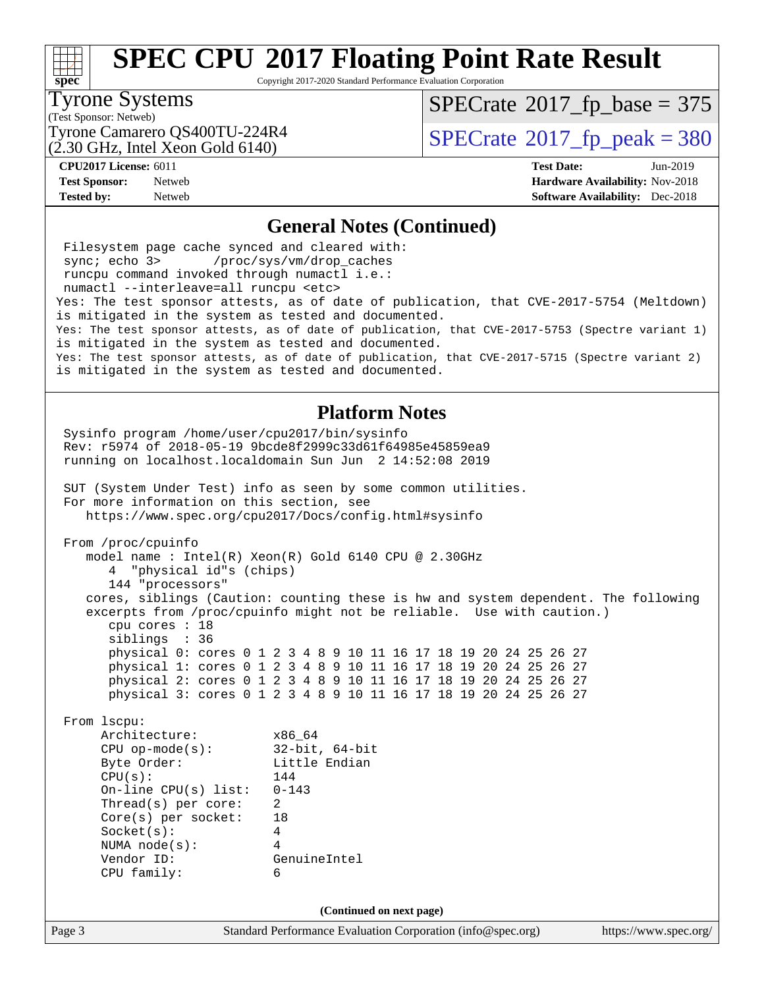

Copyright 2017-2020 Standard Performance Evaluation Corporation

#### Tyrone Systems

(Test Sponsor: Netweb)

 $SPECTate$ <sup>®</sup>[2017\\_fp\\_base =](http://www.spec.org/auto/cpu2017/Docs/result-fields.html#SPECrate2017fpbase) 375

(2.30 GHz, Intel Xeon Gold 6140)

Tyrone Camarero QS400TU-224R4  $\vert$  [SPECrate](http://www.spec.org/auto/cpu2017/Docs/result-fields.html#SPECrate2017fppeak)®[2017\\_fp\\_peak = 3](http://www.spec.org/auto/cpu2017/Docs/result-fields.html#SPECrate2017fppeak)80

**[CPU2017 License:](http://www.spec.org/auto/cpu2017/Docs/result-fields.html#CPU2017License)** 6011 **[Test Date:](http://www.spec.org/auto/cpu2017/Docs/result-fields.html#TestDate)** Jun-2019 **[Test Sponsor:](http://www.spec.org/auto/cpu2017/Docs/result-fields.html#TestSponsor)** Netweb **[Hardware Availability:](http://www.spec.org/auto/cpu2017/Docs/result-fields.html#HardwareAvailability)** Nov-2018 **[Tested by:](http://www.spec.org/auto/cpu2017/Docs/result-fields.html#Testedby)** Netweb **[Software Availability:](http://www.spec.org/auto/cpu2017/Docs/result-fields.html#SoftwareAvailability)** Dec-2018

### **[General Notes \(Continued\)](http://www.spec.org/auto/cpu2017/Docs/result-fields.html#GeneralNotes)**

Page 3 Standard Performance Evaluation Corporation [\(info@spec.org\)](mailto:info@spec.org) <https://www.spec.org/> Filesystem page cache synced and cleared with: sync; echo 3> /proc/sys/vm/drop\_caches runcpu command invoked through numactl i.e.: numactl --interleave=all runcpu <etc> Yes: The test sponsor attests, as of date of publication, that CVE-2017-5754 (Meltdown) is mitigated in the system as tested and documented. Yes: The test sponsor attests, as of date of publication, that CVE-2017-5753 (Spectre variant 1) is mitigated in the system as tested and documented. Yes: The test sponsor attests, as of date of publication, that CVE-2017-5715 (Spectre variant 2) is mitigated in the system as tested and documented. **[Platform Notes](http://www.spec.org/auto/cpu2017/Docs/result-fields.html#PlatformNotes)** Sysinfo program /home/user/cpu2017/bin/sysinfo Rev: r5974 of 2018-05-19 9bcde8f2999c33d61f64985e45859ea9 running on localhost.localdomain Sun Jun 2 14:52:08 2019 SUT (System Under Test) info as seen by some common utilities. For more information on this section, see <https://www.spec.org/cpu2017/Docs/config.html#sysinfo> From /proc/cpuinfo model name : Intel(R) Xeon(R) Gold 6140 CPU @ 2.30GHz 4 "physical id"s (chips) 144 "processors" cores, siblings (Caution: counting these is hw and system dependent. The following excerpts from /proc/cpuinfo might not be reliable. Use with caution.) cpu cores : 18 siblings : 36 physical 0: cores 0 1 2 3 4 8 9 10 11 16 17 18 19 20 24 25 26 27 physical 1: cores 0 1 2 3 4 8 9 10 11 16 17 18 19 20 24 25 26 27 physical 2: cores 0 1 2 3 4 8 9 10 11 16 17 18 19 20 24 25 26 27 physical 3: cores 0 1 2 3 4 8 9 10 11 16 17 18 19 20 24 25 26 27 From lscpu: Architecture: x86\_64 CPU op-mode(s): 32-bit, 64-bit Byte Order: Little Endian CPU(s): 144 On-line CPU(s) list: 0-143 Thread(s) per core: 2 Core(s) per socket: 18 Socket(s): 4 NUMA node(s): 4 Vendor ID: GenuineIntel CPU family: 6 **(Continued on next page)**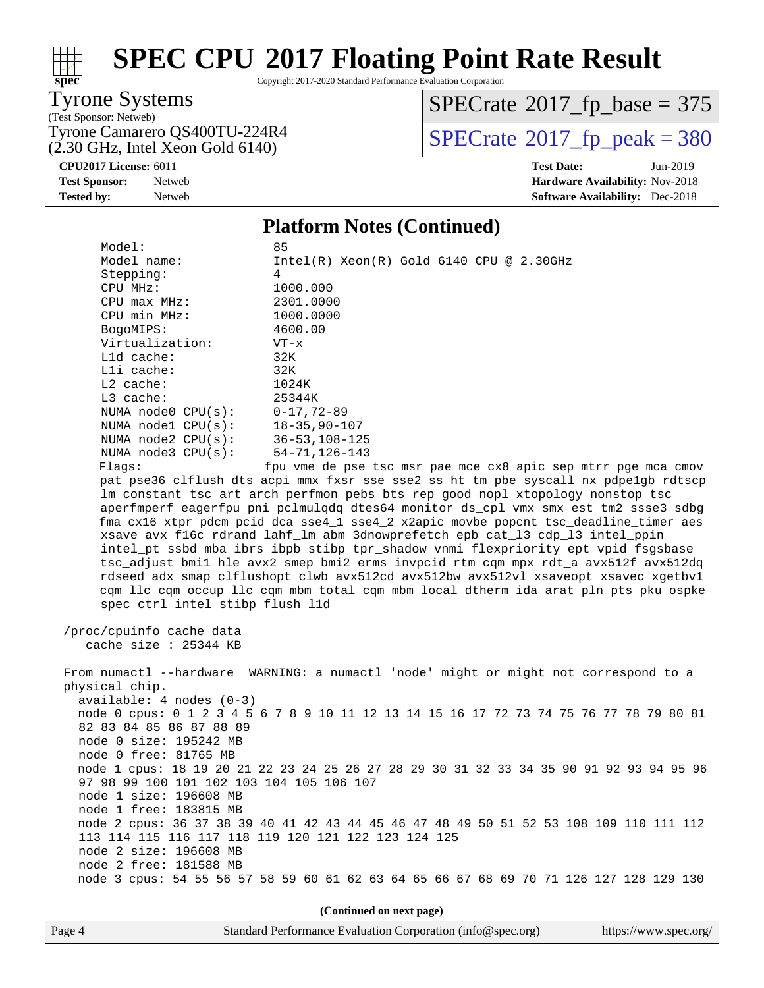

Copyright 2017-2020 Standard Performance Evaluation Corporation

### Tyrone Systems

(Test Sponsor: Netweb)

(2.30 GHz, Intel Xeon Gold 6140)

 $SPECTate$ <sup>®</sup>[2017\\_fp\\_base =](http://www.spec.org/auto/cpu2017/Docs/result-fields.html#SPECrate2017fpbase) 375

Tyrone Camarero QS400TU-224R4  $\vert$  [SPECrate](http://www.spec.org/auto/cpu2017/Docs/result-fields.html#SPECrate2017fppeak)®[2017\\_fp\\_peak = 3](http://www.spec.org/auto/cpu2017/Docs/result-fields.html#SPECrate2017fppeak)80

#### **[CPU2017 License:](http://www.spec.org/auto/cpu2017/Docs/result-fields.html#CPU2017License)** 6011 **[Test Date:](http://www.spec.org/auto/cpu2017/Docs/result-fields.html#TestDate)** Jun-2019 **[Test Sponsor:](http://www.spec.org/auto/cpu2017/Docs/result-fields.html#TestSponsor)** Netweb **[Hardware Availability:](http://www.spec.org/auto/cpu2017/Docs/result-fields.html#HardwareAvailability)** Nov-2018 **[Tested by:](http://www.spec.org/auto/cpu2017/Docs/result-fields.html#Testedby)** Netweb **[Software Availability:](http://www.spec.org/auto/cpu2017/Docs/result-fields.html#SoftwareAvailability)** Dec-2018

#### **[Platform Notes \(Continued\)](http://www.spec.org/auto/cpu2017/Docs/result-fields.html#PlatformNotes)**

 Model: 85 Model name: Intel(R) Xeon(R) Gold 6140 CPU @ 2.30GHz Stepping: 4 CPU MHz: 1000.000 CPU max MHz: 2301.0000 CPU min MHz: 1000.0000 BogoMIPS: 4600.00 Virtualization: VT-x L1d cache: 32K L1i cache: 32K L2 cache: 1024K L3 cache: 25344K NUMA node0 CPU(s): 0-17,72-89 NUMA node1 CPU(s): 18-35,90-107 NUMA node2 CPU(s): 36-53,108-125 NUMA node3 CPU(s): 54-71,126-143 Flags: fpu vme de pse tsc msr pae mce cx8 apic sep mtrr pge mca cmov pat pse36 clflush dts acpi mmx fxsr sse sse2 ss ht tm pbe syscall nx pdpe1gb rdtscp lm constant\_tsc art arch\_perfmon pebs bts rep\_good nopl xtopology nonstop\_tsc aperfmperf eagerfpu pni pclmulqdq dtes64 monitor ds\_cpl vmx smx est tm2 ssse3 sdbg fma cx16 xtpr pdcm pcid dca sse4\_1 sse4\_2 x2apic movbe popcnt tsc\_deadline\_timer aes xsave avx f16c rdrand lahf\_lm abm 3dnowprefetch epb cat\_l3 cdp\_l3 intel\_ppin intel\_pt ssbd mba ibrs ibpb stibp tpr\_shadow vnmi flexpriority ept vpid fsgsbase tsc\_adjust bmi1 hle avx2 smep bmi2 erms invpcid rtm cqm mpx rdt\_a avx512f avx512dq rdseed adx smap clflushopt clwb avx512cd avx512bw avx512vl xsaveopt xsavec xgetbv1 cqm\_llc cqm\_occup\_llc cqm\_mbm\_total cqm\_mbm\_local dtherm ida arat pln pts pku ospke spec\_ctrl intel\_stibp flush\_l1d

 /proc/cpuinfo cache data cache size : 25344 KB

 From numactl --hardware WARNING: a numactl 'node' might or might not correspond to a physical chip. available: 4 nodes (0-3) node 0 cpus: 0 1 2 3 4 5 6 7 8 9 10 11 12 13 14 15 16 17 72 73 74 75 76 77 78 79 80 81 82 83 84 85 86 87 88 89 node 0 size: 195242 MB node 0 free: 81765 MB node 1 cpus: 18 19 20 21 22 23 24 25 26 27 28 29 30 31 32 33 34 35 90 91 92 93 94 95 96 97 98 99 100 101 102 103 104 105 106 107 node 1 size: 196608 MB node 1 free: 183815 MB node 2 cpus: 36 37 38 39 40 41 42 43 44 45 46 47 48 49 50 51 52 53 108 109 110 111 112 113 114 115 116 117 118 119 120 121 122 123 124 125 node 2 size: 196608 MB node 2 free: 181588 MB node 3 cpus: 54 55 56 57 58 59 60 61 62 63 64 65 66 67 68 69 70 71 126 127 128 129 130

**(Continued on next page)**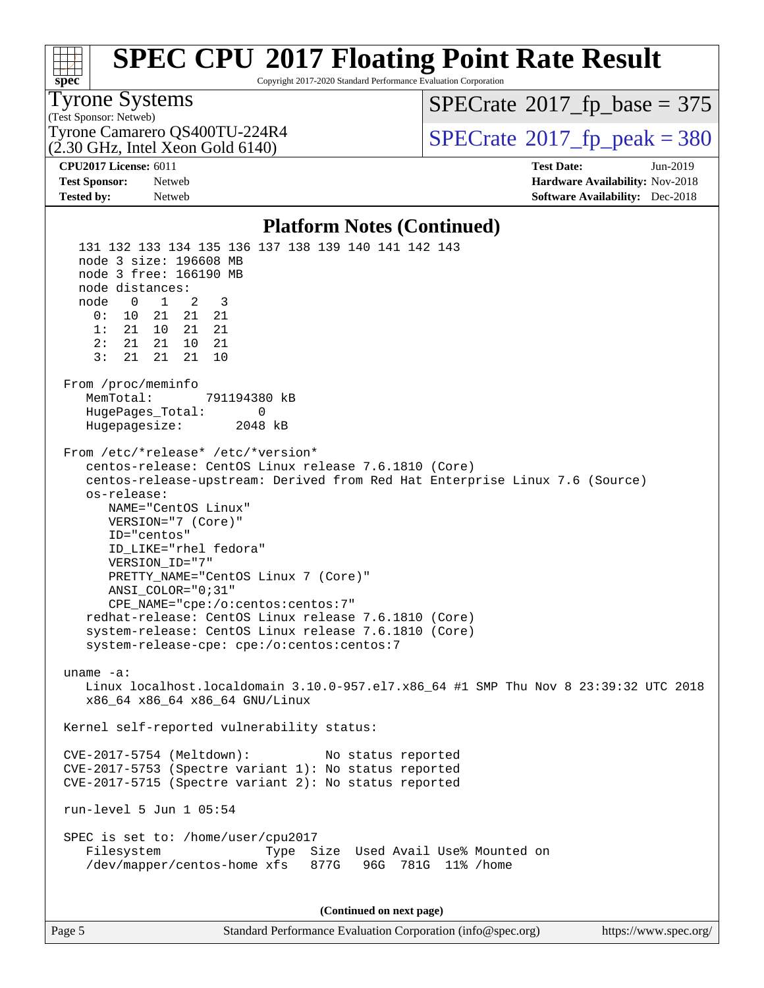

Copyright 2017-2020 Standard Performance Evaluation Corporation

#### Tyrone Systems

(Test Sponsor: Netweb) (2.30 GHz, Intel Xeon Gold 6140)  $SPECTate$ <sup>®</sup>[2017\\_fp\\_base =](http://www.spec.org/auto/cpu2017/Docs/result-fields.html#SPECrate2017fpbase) 375

Tyrone Camarero QS400TU-224R4  $\vert$  [SPECrate](http://www.spec.org/auto/cpu2017/Docs/result-fields.html#SPECrate2017fppeak)®[2017\\_fp\\_peak = 3](http://www.spec.org/auto/cpu2017/Docs/result-fields.html#SPECrate2017fppeak)80

**[CPU2017 License:](http://www.spec.org/auto/cpu2017/Docs/result-fields.html#CPU2017License)** 6011 **[Test Date:](http://www.spec.org/auto/cpu2017/Docs/result-fields.html#TestDate)** Jun-2019 **[Test Sponsor:](http://www.spec.org/auto/cpu2017/Docs/result-fields.html#TestSponsor)** Netweb **[Hardware Availability:](http://www.spec.org/auto/cpu2017/Docs/result-fields.html#HardwareAvailability)** Nov-2018 **[Tested by:](http://www.spec.org/auto/cpu2017/Docs/result-fields.html#Testedby)** Netweb **[Software Availability:](http://www.spec.org/auto/cpu2017/Docs/result-fields.html#SoftwareAvailability)** Dec-2018

#### **[Platform Notes \(Continued\)](http://www.spec.org/auto/cpu2017/Docs/result-fields.html#PlatformNotes)**

 131 132 133 134 135 136 137 138 139 140 141 142 143 node 3 size: 196608 MB node 3 free: 166190 MB node distances: node 0 1 2 3 0: 10 21 21 21 1: 21 10 21 21 2: 21 21 10 21 3: 21 21 21 10 From /proc/meminfo MemTotal: 791194380 kB HugePages\_Total: 0 Hugepagesize: 2048 kB From /etc/\*release\* /etc/\*version\* centos-release: CentOS Linux release 7.6.1810 (Core) centos-release-upstream: Derived from Red Hat Enterprise Linux 7.6 (Source) os-release: NAME="CentOS Linux" VERSION="7 (Core)" ID="centos" ID\_LIKE="rhel fedora" VERSION\_ID="7" PRETTY\_NAME="CentOS Linux 7 (Core)" ANSI\_COLOR="0;31" CPE\_NAME="cpe:/o:centos:centos:7" redhat-release: CentOS Linux release 7.6.1810 (Core) system-release: CentOS Linux release 7.6.1810 (Core) system-release-cpe: cpe:/o:centos:centos:7 uname -a: Linux localhost.localdomain 3.10.0-957.el7.x86\_64 #1 SMP Thu Nov 8 23:39:32 UTC 2018 x86\_64 x86\_64 x86\_64 GNU/Linux Kernel self-reported vulnerability status: CVE-2017-5754 (Meltdown): No status reported CVE-2017-5753 (Spectre variant 1): No status reported CVE-2017-5715 (Spectre variant 2): No status reported run-level 5 Jun 1 05:54 SPEC is set to: /home/user/cpu2017 Filesystem Type Size Used Avail Use% Mounted on /dev/mapper/centos-home xfs 877G 96G 781G 11% /home **(Continued on next page)**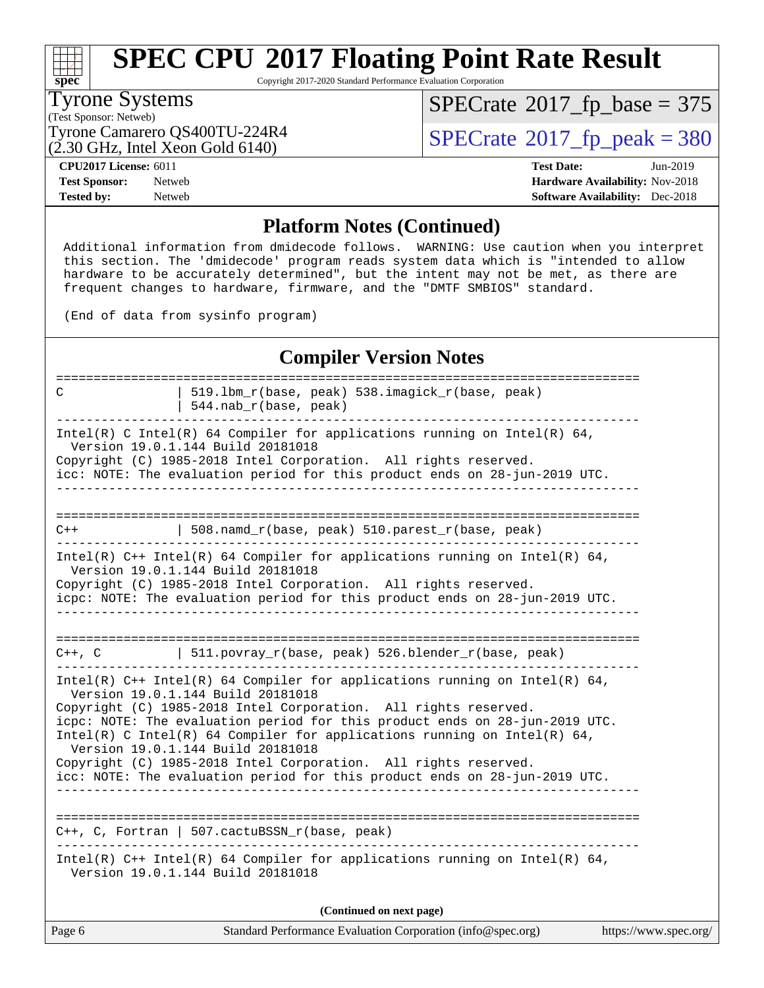

Copyright 2017-2020 Standard Performance Evaluation Corporation

#### Tyrone Systems

(Test Sponsor: Netweb)

 $SPECrate$ <sup>®</sup>[2017\\_fp\\_base =](http://www.spec.org/auto/cpu2017/Docs/result-fields.html#SPECrate2017fpbase) 375

(2.30 GHz, Intel Xeon Gold 6140)

Tyrone Camarero QS400TU-224R4  $\vert$  [SPECrate](http://www.spec.org/auto/cpu2017/Docs/result-fields.html#SPECrate2017fppeak)®[2017\\_fp\\_peak = 3](http://www.spec.org/auto/cpu2017/Docs/result-fields.html#SPECrate2017fppeak)80

**[CPU2017 License:](http://www.spec.org/auto/cpu2017/Docs/result-fields.html#CPU2017License)** 6011 **[Test Date:](http://www.spec.org/auto/cpu2017/Docs/result-fields.html#TestDate)** Jun-2019 **[Test Sponsor:](http://www.spec.org/auto/cpu2017/Docs/result-fields.html#TestSponsor)** Netweb **[Hardware Availability:](http://www.spec.org/auto/cpu2017/Docs/result-fields.html#HardwareAvailability)** Nov-2018 **[Tested by:](http://www.spec.org/auto/cpu2017/Docs/result-fields.html#Testedby)** Netweb **[Software Availability:](http://www.spec.org/auto/cpu2017/Docs/result-fields.html#SoftwareAvailability)** Dec-2018

### **[Platform Notes \(Continued\)](http://www.spec.org/auto/cpu2017/Docs/result-fields.html#PlatformNotes)**

 Additional information from dmidecode follows. WARNING: Use caution when you interpret this section. The 'dmidecode' program reads system data which is "intended to allow hardware to be accurately determined", but the intent may not be met, as there are frequent changes to hardware, firmware, and the "DMTF SMBIOS" standard.

(End of data from sysinfo program)

### **[Compiler Version Notes](http://www.spec.org/auto/cpu2017/Docs/result-fields.html#CompilerVersionNotes)**

| 519.1bm_r(base, peak) 538.imagick_r(base, peak)<br>C<br>$544.nab_r(base, peak)$                                                                                                                                                                                                                                                                                                                                                                                                                                                       |  |  |  |  |  |
|---------------------------------------------------------------------------------------------------------------------------------------------------------------------------------------------------------------------------------------------------------------------------------------------------------------------------------------------------------------------------------------------------------------------------------------------------------------------------------------------------------------------------------------|--|--|--|--|--|
| Intel(R) C Intel(R) 64 Compiler for applications running on Intel(R) 64,<br>Version 19.0.1.144 Build 20181018<br>Copyright (C) 1985-2018 Intel Corporation. All rights reserved.<br>icc: NOTE: The evaluation period for this product ends on 28-jun-2019 UTC.                                                                                                                                                                                                                                                                        |  |  |  |  |  |
|                                                                                                                                                                                                                                                                                                                                                                                                                                                                                                                                       |  |  |  |  |  |
| 508.namd_r(base, peak) 510.parest_r(base, peak)<br>$C++$                                                                                                                                                                                                                                                                                                                                                                                                                                                                              |  |  |  |  |  |
| Intel(R) $C++$ Intel(R) 64 Compiler for applications running on Intel(R) 64,<br>Version 19.0.1.144 Build 20181018<br>Copyright (C) 1985-2018 Intel Corporation. All rights reserved.<br>icpc: NOTE: The evaluation period for this product ends on 28-jun-2019 UTC.                                                                                                                                                                                                                                                                   |  |  |  |  |  |
| 511.povray_r(base, peak) 526.blender_r(base, peak)<br>$C++$ , $C$                                                                                                                                                                                                                                                                                                                                                                                                                                                                     |  |  |  |  |  |
| Intel(R) $C++$ Intel(R) 64 Compiler for applications running on Intel(R) 64,<br>Version 19.0.1.144 Build 20181018<br>Copyright (C) 1985-2018 Intel Corporation. All rights reserved.<br>icpc: NOTE: The evaluation period for this product ends on 28-jun-2019 UTC.<br>Intel(R) C Intel(R) 64 Compiler for applications running on Intel(R) 64,<br>Version 19.0.1.144 Build 20181018<br>Copyright (C) 1985-2018 Intel Corporation. All rights reserved.<br>icc: NOTE: The evaluation period for this product ends on 28-jun-2019 UTC. |  |  |  |  |  |
| $C_{++}$ , C, Fortran   507.cactuBSSN_r(base, peak)                                                                                                                                                                                                                                                                                                                                                                                                                                                                                   |  |  |  |  |  |
| Intel(R) $C++$ Intel(R) 64 Compiler for applications running on Intel(R) 64,<br>Version 19.0.1.144 Build 20181018                                                                                                                                                                                                                                                                                                                                                                                                                     |  |  |  |  |  |
| (Continued on next page)                                                                                                                                                                                                                                                                                                                                                                                                                                                                                                              |  |  |  |  |  |

Page 6 Standard Performance Evaluation Corporation [\(info@spec.org\)](mailto:info@spec.org) <https://www.spec.org/>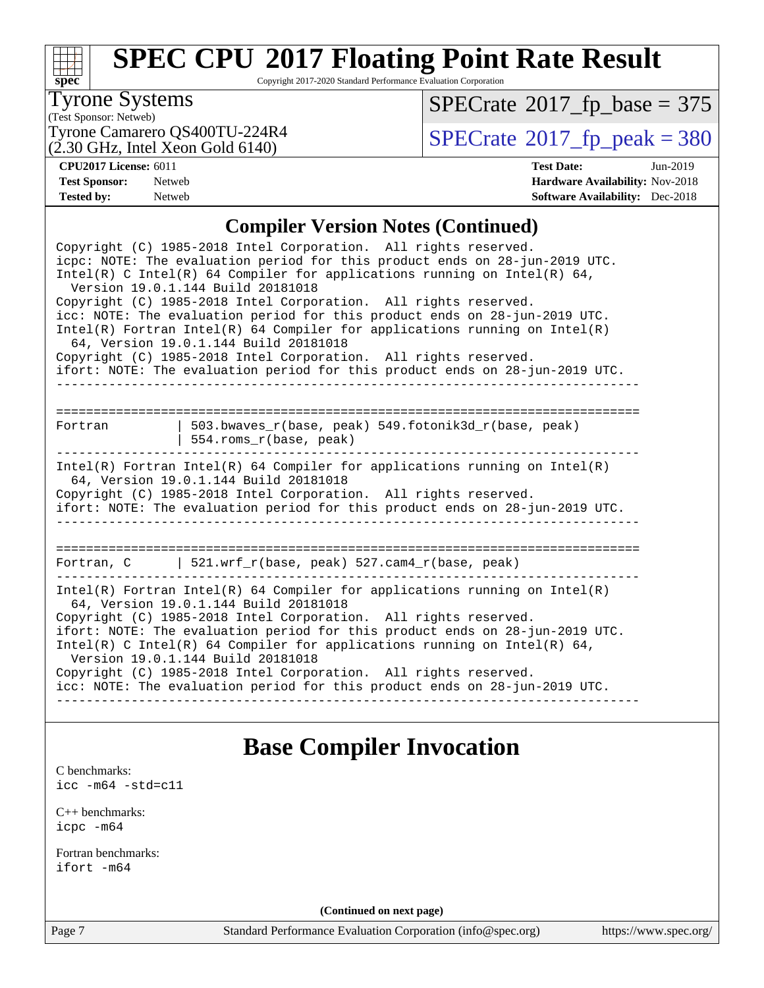

Copyright 2017-2020 Standard Performance Evaluation Corporation

### Tyrone Systems

(Test Sponsor: Netweb)

 $(2.30 \text{ GHz}, \text{Intel Xeon Gold } 6140)$ 

 $SPECrate$ <sup>®</sup>[2017\\_fp\\_base =](http://www.spec.org/auto/cpu2017/Docs/result-fields.html#SPECrate2017fpbase) 375

Tyrone Camarero QS400TU-224R4  $(2.30 \text{ GHz})$  Intel Xeon Gold 6140)

**[CPU2017 License:](http://www.spec.org/auto/cpu2017/Docs/result-fields.html#CPU2017License)** 6011 **[Test Date:](http://www.spec.org/auto/cpu2017/Docs/result-fields.html#TestDate)** Jun-2019 **[Test Sponsor:](http://www.spec.org/auto/cpu2017/Docs/result-fields.html#TestSponsor)** Netweb **[Hardware Availability:](http://www.spec.org/auto/cpu2017/Docs/result-fields.html#HardwareAvailability)** Nov-2018 **[Tested by:](http://www.spec.org/auto/cpu2017/Docs/result-fields.html#Testedby)** Netweb **[Software Availability:](http://www.spec.org/auto/cpu2017/Docs/result-fields.html#SoftwareAvailability)** Dec-2018

### **[Compiler Version Notes \(Continued\)](http://www.spec.org/auto/cpu2017/Docs/result-fields.html#CompilerVersionNotes)**

| Copyright (C) 1985-2018 Intel Corporation. All rights reserved.<br>icpc: NOTE: The evaluation period for this product ends on 28-jun-2019 UTC.<br>Intel(R) C Intel(R) 64 Compiler for applications running on Intel(R) 64,<br>Version 19.0.1.144 Build 20181018<br>Copyright (C) 1985-2018 Intel Corporation. All rights reserved.<br>icc: NOTE: The evaluation period for this product ends on 28-jun-2019 UTC.<br>Intel(R) Fortran Intel(R) 64 Compiler for applications running on $Intel(R)$<br>64, Version 19.0.1.144 Build 20181018<br>Copyright (C) 1985-2018 Intel Corporation. All rights reserved.<br>ifort: NOTE: The evaluation period for this product ends on 28-jun-2019 UTC. |                                                                                |  |  |  |  |
|----------------------------------------------------------------------------------------------------------------------------------------------------------------------------------------------------------------------------------------------------------------------------------------------------------------------------------------------------------------------------------------------------------------------------------------------------------------------------------------------------------------------------------------------------------------------------------------------------------------------------------------------------------------------------------------------|--------------------------------------------------------------------------------|--|--|--|--|
|                                                                                                                                                                                                                                                                                                                                                                                                                                                                                                                                                                                                                                                                                              |                                                                                |  |  |  |  |
| Fortran                                                                                                                                                                                                                                                                                                                                                                                                                                                                                                                                                                                                                                                                                      | 503.bwaves r(base, peak) 549.fotonik3d r(base, peak)<br>554.roms_r(base, peak) |  |  |  |  |
| Intel(R) Fortran Intel(R) 64 Compiler for applications running on Intel(R)<br>64, Version 19.0.1.144 Build 20181018<br>Copyright (C) 1985-2018 Intel Corporation. All rights reserved.<br>ifort: NOTE: The evaluation period for this product ends on 28-jun-2019 UTC.                                                                                                                                                                                                                                                                                                                                                                                                                       |                                                                                |  |  |  |  |
|                                                                                                                                                                                                                                                                                                                                                                                                                                                                                                                                                                                                                                                                                              |                                                                                |  |  |  |  |
|                                                                                                                                                                                                                                                                                                                                                                                                                                                                                                                                                                                                                                                                                              | Fortran, C   521.wrf_r(base, peak) 527.cam4_r(base, peak)                      |  |  |  |  |
| Intel(R) Fortran Intel(R) 64 Compiler for applications running on Intel(R)<br>64, Version 19.0.1.144 Build 20181018<br>Copyright (C) 1985-2018 Intel Corporation. All rights reserved.<br>ifort: NOTE: The evaluation period for this product ends on 28-jun-2019 UTC.<br>Intel(R) C Intel(R) 64 Compiler for applications running on Intel(R) 64,<br>Version 19.0.1.144 Build 20181018<br>Copyright (C) 1985-2018 Intel Corporation. All rights reserved.<br>icc: NOTE: The evaluation period for this product ends on 28-jun-2019 UTC.                                                                                                                                                     |                                                                                |  |  |  |  |

### **[Base Compiler Invocation](http://www.spec.org/auto/cpu2017/Docs/result-fields.html#BaseCompilerInvocation)**

[C benchmarks](http://www.spec.org/auto/cpu2017/Docs/result-fields.html#Cbenchmarks):

[icc -m64 -std=c11](http://www.spec.org/cpu2017/results/res2019q3/cpu2017-20190615-15349.flags.html#user_CCbase_intel_icc_64bit_c11_33ee0cdaae7deeeab2a9725423ba97205ce30f63b9926c2519791662299b76a0318f32ddfffdc46587804de3178b4f9328c46fa7c2b0cd779d7a61945c91cd35)

[C++ benchmarks:](http://www.spec.org/auto/cpu2017/Docs/result-fields.html#CXXbenchmarks) [icpc -m64](http://www.spec.org/cpu2017/results/res2019q3/cpu2017-20190615-15349.flags.html#user_CXXbase_intel_icpc_64bit_4ecb2543ae3f1412ef961e0650ca070fec7b7afdcd6ed48761b84423119d1bf6bdf5cad15b44d48e7256388bc77273b966e5eb805aefd121eb22e9299b2ec9d9)

[Fortran benchmarks](http://www.spec.org/auto/cpu2017/Docs/result-fields.html#Fortranbenchmarks): [ifort -m64](http://www.spec.org/cpu2017/results/res2019q3/cpu2017-20190615-15349.flags.html#user_FCbase_intel_ifort_64bit_24f2bb282fbaeffd6157abe4f878425411749daecae9a33200eee2bee2fe76f3b89351d69a8130dd5949958ce389cf37ff59a95e7a40d588e8d3a57e0c3fd751)

**(Continued on next page)**

Page 7 Standard Performance Evaluation Corporation [\(info@spec.org\)](mailto:info@spec.org) <https://www.spec.org/>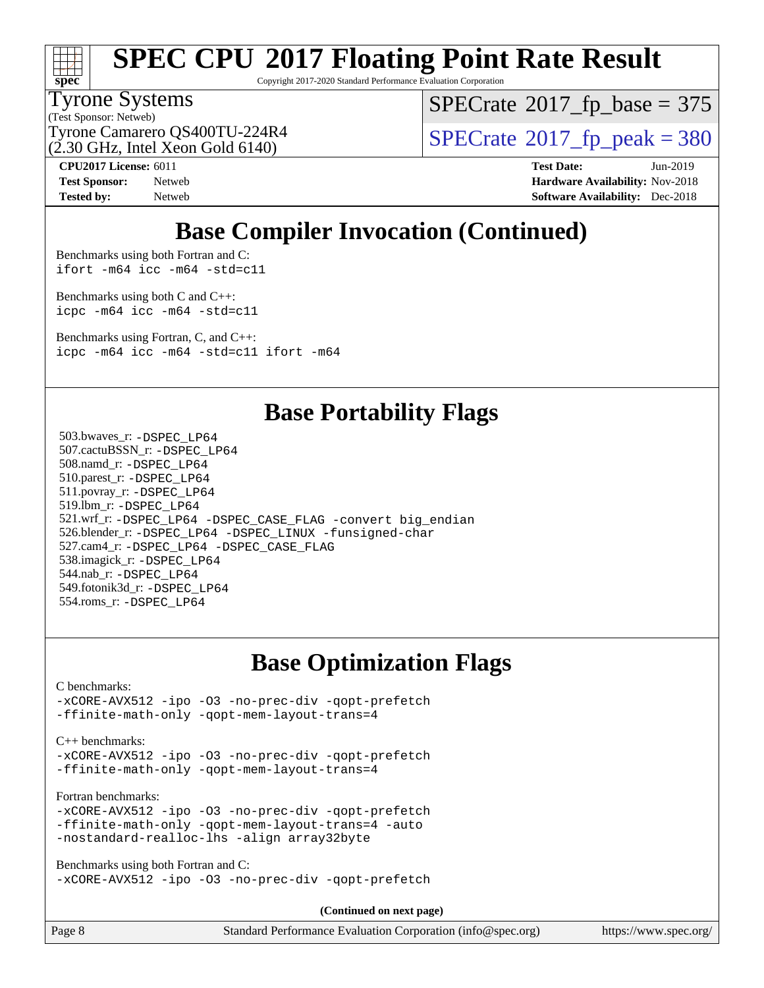

Copyright 2017-2020 Standard Performance Evaluation Corporation

#### Tyrone Systems

(Test Sponsor: Netweb)

 $SPECTate$ <sup>®</sup>[2017\\_fp\\_base =](http://www.spec.org/auto/cpu2017/Docs/result-fields.html#SPECrate2017fpbase) 375

(2.30 GHz, Intel Xeon Gold 6140)

Tyrone Camarero QS400TU-224R4  $\vert$  [SPECrate](http://www.spec.org/auto/cpu2017/Docs/result-fields.html#SPECrate2017fppeak)®[2017\\_fp\\_peak = 3](http://www.spec.org/auto/cpu2017/Docs/result-fields.html#SPECrate2017fppeak)80

**[CPU2017 License:](http://www.spec.org/auto/cpu2017/Docs/result-fields.html#CPU2017License)** 6011 **[Test Date:](http://www.spec.org/auto/cpu2017/Docs/result-fields.html#TestDate)** Jun-2019 **[Test Sponsor:](http://www.spec.org/auto/cpu2017/Docs/result-fields.html#TestSponsor)** Netweb **[Hardware Availability:](http://www.spec.org/auto/cpu2017/Docs/result-fields.html#HardwareAvailability)** Nov-2018 **[Tested by:](http://www.spec.org/auto/cpu2017/Docs/result-fields.html#Testedby)** Netweb **[Software Availability:](http://www.spec.org/auto/cpu2017/Docs/result-fields.html#SoftwareAvailability)** Dec-2018

### **[Base Compiler Invocation \(Continued\)](http://www.spec.org/auto/cpu2017/Docs/result-fields.html#BaseCompilerInvocation)**

[Benchmarks using both Fortran and C](http://www.spec.org/auto/cpu2017/Docs/result-fields.html#BenchmarksusingbothFortranandC): [ifort -m64](http://www.spec.org/cpu2017/results/res2019q3/cpu2017-20190615-15349.flags.html#user_CC_FCbase_intel_ifort_64bit_24f2bb282fbaeffd6157abe4f878425411749daecae9a33200eee2bee2fe76f3b89351d69a8130dd5949958ce389cf37ff59a95e7a40d588e8d3a57e0c3fd751) [icc -m64 -std=c11](http://www.spec.org/cpu2017/results/res2019q3/cpu2017-20190615-15349.flags.html#user_CC_FCbase_intel_icc_64bit_c11_33ee0cdaae7deeeab2a9725423ba97205ce30f63b9926c2519791662299b76a0318f32ddfffdc46587804de3178b4f9328c46fa7c2b0cd779d7a61945c91cd35)

[Benchmarks using both C and C++](http://www.spec.org/auto/cpu2017/Docs/result-fields.html#BenchmarksusingbothCandCXX): [icpc -m64](http://www.spec.org/cpu2017/results/res2019q3/cpu2017-20190615-15349.flags.html#user_CC_CXXbase_intel_icpc_64bit_4ecb2543ae3f1412ef961e0650ca070fec7b7afdcd6ed48761b84423119d1bf6bdf5cad15b44d48e7256388bc77273b966e5eb805aefd121eb22e9299b2ec9d9) [icc -m64 -std=c11](http://www.spec.org/cpu2017/results/res2019q3/cpu2017-20190615-15349.flags.html#user_CC_CXXbase_intel_icc_64bit_c11_33ee0cdaae7deeeab2a9725423ba97205ce30f63b9926c2519791662299b76a0318f32ddfffdc46587804de3178b4f9328c46fa7c2b0cd779d7a61945c91cd35)

[Benchmarks using Fortran, C, and C++:](http://www.spec.org/auto/cpu2017/Docs/result-fields.html#BenchmarksusingFortranCandCXX) [icpc -m64](http://www.spec.org/cpu2017/results/res2019q3/cpu2017-20190615-15349.flags.html#user_CC_CXX_FCbase_intel_icpc_64bit_4ecb2543ae3f1412ef961e0650ca070fec7b7afdcd6ed48761b84423119d1bf6bdf5cad15b44d48e7256388bc77273b966e5eb805aefd121eb22e9299b2ec9d9) [icc -m64 -std=c11](http://www.spec.org/cpu2017/results/res2019q3/cpu2017-20190615-15349.flags.html#user_CC_CXX_FCbase_intel_icc_64bit_c11_33ee0cdaae7deeeab2a9725423ba97205ce30f63b9926c2519791662299b76a0318f32ddfffdc46587804de3178b4f9328c46fa7c2b0cd779d7a61945c91cd35) [ifort -m64](http://www.spec.org/cpu2017/results/res2019q3/cpu2017-20190615-15349.flags.html#user_CC_CXX_FCbase_intel_ifort_64bit_24f2bb282fbaeffd6157abe4f878425411749daecae9a33200eee2bee2fe76f3b89351d69a8130dd5949958ce389cf37ff59a95e7a40d588e8d3a57e0c3fd751)

### **[Base Portability Flags](http://www.spec.org/auto/cpu2017/Docs/result-fields.html#BasePortabilityFlags)**

 503.bwaves\_r: [-DSPEC\\_LP64](http://www.spec.org/cpu2017/results/res2019q3/cpu2017-20190615-15349.flags.html#suite_basePORTABILITY503_bwaves_r_DSPEC_LP64) 507.cactuBSSN\_r: [-DSPEC\\_LP64](http://www.spec.org/cpu2017/results/res2019q3/cpu2017-20190615-15349.flags.html#suite_basePORTABILITY507_cactuBSSN_r_DSPEC_LP64) 508.namd\_r: [-DSPEC\\_LP64](http://www.spec.org/cpu2017/results/res2019q3/cpu2017-20190615-15349.flags.html#suite_basePORTABILITY508_namd_r_DSPEC_LP64) 510.parest\_r: [-DSPEC\\_LP64](http://www.spec.org/cpu2017/results/res2019q3/cpu2017-20190615-15349.flags.html#suite_basePORTABILITY510_parest_r_DSPEC_LP64) 511.povray\_r: [-DSPEC\\_LP64](http://www.spec.org/cpu2017/results/res2019q3/cpu2017-20190615-15349.flags.html#suite_basePORTABILITY511_povray_r_DSPEC_LP64) 519.lbm\_r: [-DSPEC\\_LP64](http://www.spec.org/cpu2017/results/res2019q3/cpu2017-20190615-15349.flags.html#suite_basePORTABILITY519_lbm_r_DSPEC_LP64) 521.wrf\_r: [-DSPEC\\_LP64](http://www.spec.org/cpu2017/results/res2019q3/cpu2017-20190615-15349.flags.html#suite_basePORTABILITY521_wrf_r_DSPEC_LP64) [-DSPEC\\_CASE\\_FLAG](http://www.spec.org/cpu2017/results/res2019q3/cpu2017-20190615-15349.flags.html#b521.wrf_r_baseCPORTABILITY_DSPEC_CASE_FLAG) [-convert big\\_endian](http://www.spec.org/cpu2017/results/res2019q3/cpu2017-20190615-15349.flags.html#user_baseFPORTABILITY521_wrf_r_convert_big_endian_c3194028bc08c63ac5d04de18c48ce6d347e4e562e8892b8bdbdc0214820426deb8554edfa529a3fb25a586e65a3d812c835984020483e7e73212c4d31a38223) 526.blender\_r: [-DSPEC\\_LP64](http://www.spec.org/cpu2017/results/res2019q3/cpu2017-20190615-15349.flags.html#suite_basePORTABILITY526_blender_r_DSPEC_LP64) [-DSPEC\\_LINUX](http://www.spec.org/cpu2017/results/res2019q3/cpu2017-20190615-15349.flags.html#b526.blender_r_baseCPORTABILITY_DSPEC_LINUX) [-funsigned-char](http://www.spec.org/cpu2017/results/res2019q3/cpu2017-20190615-15349.flags.html#user_baseCPORTABILITY526_blender_r_force_uchar_40c60f00ab013830e2dd6774aeded3ff59883ba5a1fc5fc14077f794d777847726e2a5858cbc7672e36e1b067e7e5c1d9a74f7176df07886a243d7cc18edfe67) 527.cam4\_r: [-DSPEC\\_LP64](http://www.spec.org/cpu2017/results/res2019q3/cpu2017-20190615-15349.flags.html#suite_basePORTABILITY527_cam4_r_DSPEC_LP64) [-DSPEC\\_CASE\\_FLAG](http://www.spec.org/cpu2017/results/res2019q3/cpu2017-20190615-15349.flags.html#b527.cam4_r_baseCPORTABILITY_DSPEC_CASE_FLAG) 538.imagick\_r: [-DSPEC\\_LP64](http://www.spec.org/cpu2017/results/res2019q3/cpu2017-20190615-15349.flags.html#suite_basePORTABILITY538_imagick_r_DSPEC_LP64) 544.nab\_r: [-DSPEC\\_LP64](http://www.spec.org/cpu2017/results/res2019q3/cpu2017-20190615-15349.flags.html#suite_basePORTABILITY544_nab_r_DSPEC_LP64) 549.fotonik3d\_r: [-DSPEC\\_LP64](http://www.spec.org/cpu2017/results/res2019q3/cpu2017-20190615-15349.flags.html#suite_basePORTABILITY549_fotonik3d_r_DSPEC_LP64) 554.roms\_r: [-DSPEC\\_LP64](http://www.spec.org/cpu2017/results/res2019q3/cpu2017-20190615-15349.flags.html#suite_basePORTABILITY554_roms_r_DSPEC_LP64)

### **[Base Optimization Flags](http://www.spec.org/auto/cpu2017/Docs/result-fields.html#BaseOptimizationFlags)**

[C benchmarks](http://www.spec.org/auto/cpu2017/Docs/result-fields.html#Cbenchmarks):

[-xCORE-AVX512](http://www.spec.org/cpu2017/results/res2019q3/cpu2017-20190615-15349.flags.html#user_CCbase_f-xCORE-AVX512) [-ipo](http://www.spec.org/cpu2017/results/res2019q3/cpu2017-20190615-15349.flags.html#user_CCbase_f-ipo) [-O3](http://www.spec.org/cpu2017/results/res2019q3/cpu2017-20190615-15349.flags.html#user_CCbase_f-O3) [-no-prec-div](http://www.spec.org/cpu2017/results/res2019q3/cpu2017-20190615-15349.flags.html#user_CCbase_f-no-prec-div) [-qopt-prefetch](http://www.spec.org/cpu2017/results/res2019q3/cpu2017-20190615-15349.flags.html#user_CCbase_f-qopt-prefetch) [-ffinite-math-only](http://www.spec.org/cpu2017/results/res2019q3/cpu2017-20190615-15349.flags.html#user_CCbase_f_finite_math_only_cb91587bd2077682c4b38af759c288ed7c732db004271a9512da14a4f8007909a5f1427ecbf1a0fb78ff2a814402c6114ac565ca162485bbcae155b5e4258871) [-qopt-mem-layout-trans=4](http://www.spec.org/cpu2017/results/res2019q3/cpu2017-20190615-15349.flags.html#user_CCbase_f-qopt-mem-layout-trans_fa39e755916c150a61361b7846f310bcdf6f04e385ef281cadf3647acec3f0ae266d1a1d22d972a7087a248fd4e6ca390a3634700869573d231a252c784941a8)

[C++ benchmarks:](http://www.spec.org/auto/cpu2017/Docs/result-fields.html#CXXbenchmarks)

[-xCORE-AVX512](http://www.spec.org/cpu2017/results/res2019q3/cpu2017-20190615-15349.flags.html#user_CXXbase_f-xCORE-AVX512) [-ipo](http://www.spec.org/cpu2017/results/res2019q3/cpu2017-20190615-15349.flags.html#user_CXXbase_f-ipo) [-O3](http://www.spec.org/cpu2017/results/res2019q3/cpu2017-20190615-15349.flags.html#user_CXXbase_f-O3) [-no-prec-div](http://www.spec.org/cpu2017/results/res2019q3/cpu2017-20190615-15349.flags.html#user_CXXbase_f-no-prec-div) [-qopt-prefetch](http://www.spec.org/cpu2017/results/res2019q3/cpu2017-20190615-15349.flags.html#user_CXXbase_f-qopt-prefetch) [-ffinite-math-only](http://www.spec.org/cpu2017/results/res2019q3/cpu2017-20190615-15349.flags.html#user_CXXbase_f_finite_math_only_cb91587bd2077682c4b38af759c288ed7c732db004271a9512da14a4f8007909a5f1427ecbf1a0fb78ff2a814402c6114ac565ca162485bbcae155b5e4258871) [-qopt-mem-layout-trans=4](http://www.spec.org/cpu2017/results/res2019q3/cpu2017-20190615-15349.flags.html#user_CXXbase_f-qopt-mem-layout-trans_fa39e755916c150a61361b7846f310bcdf6f04e385ef281cadf3647acec3f0ae266d1a1d22d972a7087a248fd4e6ca390a3634700869573d231a252c784941a8)

[Fortran benchmarks](http://www.spec.org/auto/cpu2017/Docs/result-fields.html#Fortranbenchmarks):

[-xCORE-AVX512](http://www.spec.org/cpu2017/results/res2019q3/cpu2017-20190615-15349.flags.html#user_FCbase_f-xCORE-AVX512) [-ipo](http://www.spec.org/cpu2017/results/res2019q3/cpu2017-20190615-15349.flags.html#user_FCbase_f-ipo) [-O3](http://www.spec.org/cpu2017/results/res2019q3/cpu2017-20190615-15349.flags.html#user_FCbase_f-O3) [-no-prec-div](http://www.spec.org/cpu2017/results/res2019q3/cpu2017-20190615-15349.flags.html#user_FCbase_f-no-prec-div) [-qopt-prefetch](http://www.spec.org/cpu2017/results/res2019q3/cpu2017-20190615-15349.flags.html#user_FCbase_f-qopt-prefetch) [-ffinite-math-only](http://www.spec.org/cpu2017/results/res2019q3/cpu2017-20190615-15349.flags.html#user_FCbase_f_finite_math_only_cb91587bd2077682c4b38af759c288ed7c732db004271a9512da14a4f8007909a5f1427ecbf1a0fb78ff2a814402c6114ac565ca162485bbcae155b5e4258871) [-qopt-mem-layout-trans=4](http://www.spec.org/cpu2017/results/res2019q3/cpu2017-20190615-15349.flags.html#user_FCbase_f-qopt-mem-layout-trans_fa39e755916c150a61361b7846f310bcdf6f04e385ef281cadf3647acec3f0ae266d1a1d22d972a7087a248fd4e6ca390a3634700869573d231a252c784941a8) [-auto](http://www.spec.org/cpu2017/results/res2019q3/cpu2017-20190615-15349.flags.html#user_FCbase_f-auto) [-nostandard-realloc-lhs](http://www.spec.org/cpu2017/results/res2019q3/cpu2017-20190615-15349.flags.html#user_FCbase_f_2003_std_realloc_82b4557e90729c0f113870c07e44d33d6f5a304b4f63d4c15d2d0f1fab99f5daaed73bdb9275d9ae411527f28b936061aa8b9c8f2d63842963b95c9dd6426b8a) [-align array32byte](http://www.spec.org/cpu2017/results/res2019q3/cpu2017-20190615-15349.flags.html#user_FCbase_align_array32byte_b982fe038af199962ba9a80c053b8342c548c85b40b8e86eb3cc33dee0d7986a4af373ac2d51c3f7cf710a18d62fdce2948f201cd044323541f22fc0fffc51b6)

[Benchmarks using both Fortran and C](http://www.spec.org/auto/cpu2017/Docs/result-fields.html#BenchmarksusingbothFortranandC): [-xCORE-AVX512](http://www.spec.org/cpu2017/results/res2019q3/cpu2017-20190615-15349.flags.html#user_CC_FCbase_f-xCORE-AVX512) [-ipo](http://www.spec.org/cpu2017/results/res2019q3/cpu2017-20190615-15349.flags.html#user_CC_FCbase_f-ipo) [-O3](http://www.spec.org/cpu2017/results/res2019q3/cpu2017-20190615-15349.flags.html#user_CC_FCbase_f-O3) [-no-prec-div](http://www.spec.org/cpu2017/results/res2019q3/cpu2017-20190615-15349.flags.html#user_CC_FCbase_f-no-prec-div) [-qopt-prefetch](http://www.spec.org/cpu2017/results/res2019q3/cpu2017-20190615-15349.flags.html#user_CC_FCbase_f-qopt-prefetch)

**(Continued on next page)**

Page 8 Standard Performance Evaluation Corporation [\(info@spec.org\)](mailto:info@spec.org) <https://www.spec.org/>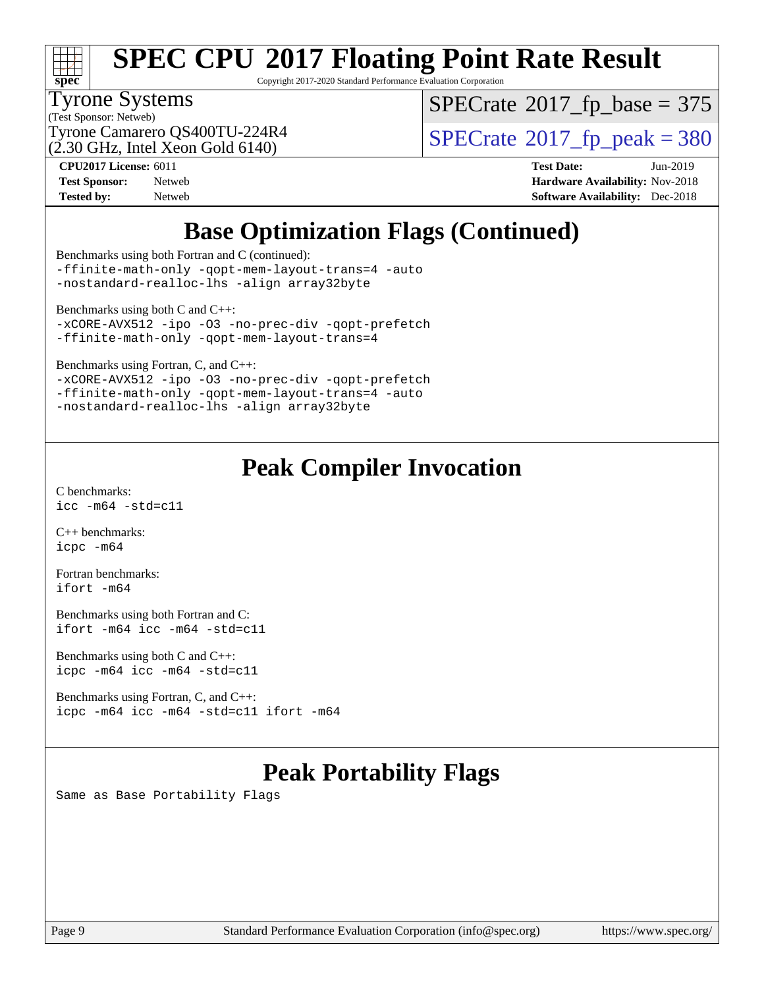

Copyright 2017-2020 Standard Performance Evaluation Corporation

#### Tyrone Systems

(Test Sponsor: Netweb)

 $SPECTate$ <sup>®</sup>[2017\\_fp\\_base =](http://www.spec.org/auto/cpu2017/Docs/result-fields.html#SPECrate2017fpbase) 375

(2.30 GHz, Intel Xeon Gold 6140)

Tyrone Camarero QS400TU-224R4  $\vert$  [SPECrate](http://www.spec.org/auto/cpu2017/Docs/result-fields.html#SPECrate2017fppeak)®[2017\\_fp\\_peak = 3](http://www.spec.org/auto/cpu2017/Docs/result-fields.html#SPECrate2017fppeak)80

**[CPU2017 License:](http://www.spec.org/auto/cpu2017/Docs/result-fields.html#CPU2017License)** 6011 **[Test Date:](http://www.spec.org/auto/cpu2017/Docs/result-fields.html#TestDate)** Jun-2019 **[Test Sponsor:](http://www.spec.org/auto/cpu2017/Docs/result-fields.html#TestSponsor)** Netweb **[Hardware Availability:](http://www.spec.org/auto/cpu2017/Docs/result-fields.html#HardwareAvailability)** Nov-2018 **[Tested by:](http://www.spec.org/auto/cpu2017/Docs/result-fields.html#Testedby)** Netweb **[Software Availability:](http://www.spec.org/auto/cpu2017/Docs/result-fields.html#SoftwareAvailability)** Dec-2018

## **[Base Optimization Flags \(Continued\)](http://www.spec.org/auto/cpu2017/Docs/result-fields.html#BaseOptimizationFlags)**

[Benchmarks using both Fortran and C](http://www.spec.org/auto/cpu2017/Docs/result-fields.html#BenchmarksusingbothFortranandC) (continued): [-ffinite-math-only](http://www.spec.org/cpu2017/results/res2019q3/cpu2017-20190615-15349.flags.html#user_CC_FCbase_f_finite_math_only_cb91587bd2077682c4b38af759c288ed7c732db004271a9512da14a4f8007909a5f1427ecbf1a0fb78ff2a814402c6114ac565ca162485bbcae155b5e4258871) [-qopt-mem-layout-trans=4](http://www.spec.org/cpu2017/results/res2019q3/cpu2017-20190615-15349.flags.html#user_CC_FCbase_f-qopt-mem-layout-trans_fa39e755916c150a61361b7846f310bcdf6f04e385ef281cadf3647acec3f0ae266d1a1d22d972a7087a248fd4e6ca390a3634700869573d231a252c784941a8) [-auto](http://www.spec.org/cpu2017/results/res2019q3/cpu2017-20190615-15349.flags.html#user_CC_FCbase_f-auto)

[-nostandard-realloc-lhs](http://www.spec.org/cpu2017/results/res2019q3/cpu2017-20190615-15349.flags.html#user_CC_FCbase_f_2003_std_realloc_82b4557e90729c0f113870c07e44d33d6f5a304b4f63d4c15d2d0f1fab99f5daaed73bdb9275d9ae411527f28b936061aa8b9c8f2d63842963b95c9dd6426b8a) [-align array32byte](http://www.spec.org/cpu2017/results/res2019q3/cpu2017-20190615-15349.flags.html#user_CC_FCbase_align_array32byte_b982fe038af199962ba9a80c053b8342c548c85b40b8e86eb3cc33dee0d7986a4af373ac2d51c3f7cf710a18d62fdce2948f201cd044323541f22fc0fffc51b6)

[Benchmarks using both C and C++](http://www.spec.org/auto/cpu2017/Docs/result-fields.html#BenchmarksusingbothCandCXX):

[-xCORE-AVX512](http://www.spec.org/cpu2017/results/res2019q3/cpu2017-20190615-15349.flags.html#user_CC_CXXbase_f-xCORE-AVX512) [-ipo](http://www.spec.org/cpu2017/results/res2019q3/cpu2017-20190615-15349.flags.html#user_CC_CXXbase_f-ipo) [-O3](http://www.spec.org/cpu2017/results/res2019q3/cpu2017-20190615-15349.flags.html#user_CC_CXXbase_f-O3) [-no-prec-div](http://www.spec.org/cpu2017/results/res2019q3/cpu2017-20190615-15349.flags.html#user_CC_CXXbase_f-no-prec-div) [-qopt-prefetch](http://www.spec.org/cpu2017/results/res2019q3/cpu2017-20190615-15349.flags.html#user_CC_CXXbase_f-qopt-prefetch) [-ffinite-math-only](http://www.spec.org/cpu2017/results/res2019q3/cpu2017-20190615-15349.flags.html#user_CC_CXXbase_f_finite_math_only_cb91587bd2077682c4b38af759c288ed7c732db004271a9512da14a4f8007909a5f1427ecbf1a0fb78ff2a814402c6114ac565ca162485bbcae155b5e4258871) [-qopt-mem-layout-trans=4](http://www.spec.org/cpu2017/results/res2019q3/cpu2017-20190615-15349.flags.html#user_CC_CXXbase_f-qopt-mem-layout-trans_fa39e755916c150a61361b7846f310bcdf6f04e385ef281cadf3647acec3f0ae266d1a1d22d972a7087a248fd4e6ca390a3634700869573d231a252c784941a8)

[Benchmarks using Fortran, C, and C++:](http://www.spec.org/auto/cpu2017/Docs/result-fields.html#BenchmarksusingFortranCandCXX)

[-xCORE-AVX512](http://www.spec.org/cpu2017/results/res2019q3/cpu2017-20190615-15349.flags.html#user_CC_CXX_FCbase_f-xCORE-AVX512) [-ipo](http://www.spec.org/cpu2017/results/res2019q3/cpu2017-20190615-15349.flags.html#user_CC_CXX_FCbase_f-ipo) [-O3](http://www.spec.org/cpu2017/results/res2019q3/cpu2017-20190615-15349.flags.html#user_CC_CXX_FCbase_f-O3) [-no-prec-div](http://www.spec.org/cpu2017/results/res2019q3/cpu2017-20190615-15349.flags.html#user_CC_CXX_FCbase_f-no-prec-div) [-qopt-prefetch](http://www.spec.org/cpu2017/results/res2019q3/cpu2017-20190615-15349.flags.html#user_CC_CXX_FCbase_f-qopt-prefetch) [-ffinite-math-only](http://www.spec.org/cpu2017/results/res2019q3/cpu2017-20190615-15349.flags.html#user_CC_CXX_FCbase_f_finite_math_only_cb91587bd2077682c4b38af759c288ed7c732db004271a9512da14a4f8007909a5f1427ecbf1a0fb78ff2a814402c6114ac565ca162485bbcae155b5e4258871) [-qopt-mem-layout-trans=4](http://www.spec.org/cpu2017/results/res2019q3/cpu2017-20190615-15349.flags.html#user_CC_CXX_FCbase_f-qopt-mem-layout-trans_fa39e755916c150a61361b7846f310bcdf6f04e385ef281cadf3647acec3f0ae266d1a1d22d972a7087a248fd4e6ca390a3634700869573d231a252c784941a8) [-auto](http://www.spec.org/cpu2017/results/res2019q3/cpu2017-20190615-15349.flags.html#user_CC_CXX_FCbase_f-auto) [-nostandard-realloc-lhs](http://www.spec.org/cpu2017/results/res2019q3/cpu2017-20190615-15349.flags.html#user_CC_CXX_FCbase_f_2003_std_realloc_82b4557e90729c0f113870c07e44d33d6f5a304b4f63d4c15d2d0f1fab99f5daaed73bdb9275d9ae411527f28b936061aa8b9c8f2d63842963b95c9dd6426b8a) [-align array32byte](http://www.spec.org/cpu2017/results/res2019q3/cpu2017-20190615-15349.flags.html#user_CC_CXX_FCbase_align_array32byte_b982fe038af199962ba9a80c053b8342c548c85b40b8e86eb3cc33dee0d7986a4af373ac2d51c3f7cf710a18d62fdce2948f201cd044323541f22fc0fffc51b6)

## **[Peak Compiler Invocation](http://www.spec.org/auto/cpu2017/Docs/result-fields.html#PeakCompilerInvocation)**

[C benchmarks](http://www.spec.org/auto/cpu2017/Docs/result-fields.html#Cbenchmarks): [icc -m64 -std=c11](http://www.spec.org/cpu2017/results/res2019q3/cpu2017-20190615-15349.flags.html#user_CCpeak_intel_icc_64bit_c11_33ee0cdaae7deeeab2a9725423ba97205ce30f63b9926c2519791662299b76a0318f32ddfffdc46587804de3178b4f9328c46fa7c2b0cd779d7a61945c91cd35)

[C++ benchmarks:](http://www.spec.org/auto/cpu2017/Docs/result-fields.html#CXXbenchmarks) [icpc -m64](http://www.spec.org/cpu2017/results/res2019q3/cpu2017-20190615-15349.flags.html#user_CXXpeak_intel_icpc_64bit_4ecb2543ae3f1412ef961e0650ca070fec7b7afdcd6ed48761b84423119d1bf6bdf5cad15b44d48e7256388bc77273b966e5eb805aefd121eb22e9299b2ec9d9)

[Fortran benchmarks](http://www.spec.org/auto/cpu2017/Docs/result-fields.html#Fortranbenchmarks): [ifort -m64](http://www.spec.org/cpu2017/results/res2019q3/cpu2017-20190615-15349.flags.html#user_FCpeak_intel_ifort_64bit_24f2bb282fbaeffd6157abe4f878425411749daecae9a33200eee2bee2fe76f3b89351d69a8130dd5949958ce389cf37ff59a95e7a40d588e8d3a57e0c3fd751)

[Benchmarks using both Fortran and C](http://www.spec.org/auto/cpu2017/Docs/result-fields.html#BenchmarksusingbothFortranandC): [ifort -m64](http://www.spec.org/cpu2017/results/res2019q3/cpu2017-20190615-15349.flags.html#user_CC_FCpeak_intel_ifort_64bit_24f2bb282fbaeffd6157abe4f878425411749daecae9a33200eee2bee2fe76f3b89351d69a8130dd5949958ce389cf37ff59a95e7a40d588e8d3a57e0c3fd751) [icc -m64 -std=c11](http://www.spec.org/cpu2017/results/res2019q3/cpu2017-20190615-15349.flags.html#user_CC_FCpeak_intel_icc_64bit_c11_33ee0cdaae7deeeab2a9725423ba97205ce30f63b9926c2519791662299b76a0318f32ddfffdc46587804de3178b4f9328c46fa7c2b0cd779d7a61945c91cd35)

[Benchmarks using both C and C++](http://www.spec.org/auto/cpu2017/Docs/result-fields.html#BenchmarksusingbothCandCXX): [icpc -m64](http://www.spec.org/cpu2017/results/res2019q3/cpu2017-20190615-15349.flags.html#user_CC_CXXpeak_intel_icpc_64bit_4ecb2543ae3f1412ef961e0650ca070fec7b7afdcd6ed48761b84423119d1bf6bdf5cad15b44d48e7256388bc77273b966e5eb805aefd121eb22e9299b2ec9d9) [icc -m64 -std=c11](http://www.spec.org/cpu2017/results/res2019q3/cpu2017-20190615-15349.flags.html#user_CC_CXXpeak_intel_icc_64bit_c11_33ee0cdaae7deeeab2a9725423ba97205ce30f63b9926c2519791662299b76a0318f32ddfffdc46587804de3178b4f9328c46fa7c2b0cd779d7a61945c91cd35)

[Benchmarks using Fortran, C, and C++:](http://www.spec.org/auto/cpu2017/Docs/result-fields.html#BenchmarksusingFortranCandCXX) [icpc -m64](http://www.spec.org/cpu2017/results/res2019q3/cpu2017-20190615-15349.flags.html#user_CC_CXX_FCpeak_intel_icpc_64bit_4ecb2543ae3f1412ef961e0650ca070fec7b7afdcd6ed48761b84423119d1bf6bdf5cad15b44d48e7256388bc77273b966e5eb805aefd121eb22e9299b2ec9d9) [icc -m64 -std=c11](http://www.spec.org/cpu2017/results/res2019q3/cpu2017-20190615-15349.flags.html#user_CC_CXX_FCpeak_intel_icc_64bit_c11_33ee0cdaae7deeeab2a9725423ba97205ce30f63b9926c2519791662299b76a0318f32ddfffdc46587804de3178b4f9328c46fa7c2b0cd779d7a61945c91cd35) [ifort -m64](http://www.spec.org/cpu2017/results/res2019q3/cpu2017-20190615-15349.flags.html#user_CC_CXX_FCpeak_intel_ifort_64bit_24f2bb282fbaeffd6157abe4f878425411749daecae9a33200eee2bee2fe76f3b89351d69a8130dd5949958ce389cf37ff59a95e7a40d588e8d3a57e0c3fd751)

## **[Peak Portability Flags](http://www.spec.org/auto/cpu2017/Docs/result-fields.html#PeakPortabilityFlags)**

Same as Base Portability Flags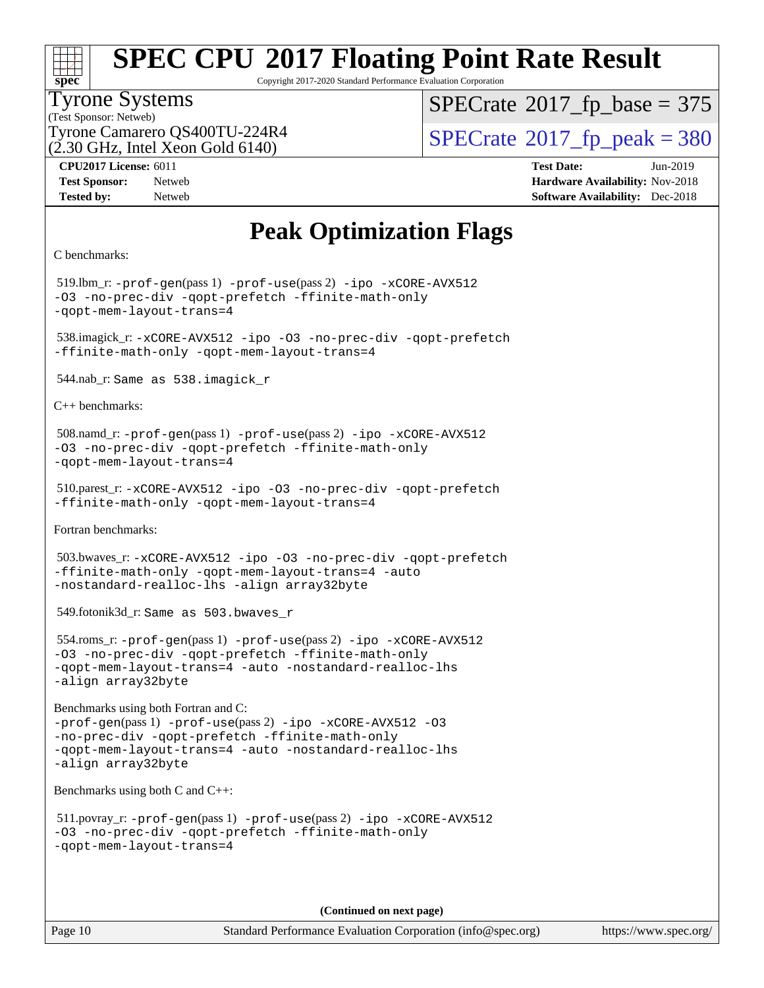

Copyright 2017-2020 Standard Performance Evaluation Corporation

#### Tyrone Systems

(Test Sponsor: Netweb) (2.30 GHz, Intel Xeon Gold 6140)  $SPECTate$ <sup>®</sup>[2017\\_fp\\_base =](http://www.spec.org/auto/cpu2017/Docs/result-fields.html#SPECrate2017fpbase) 375

Tyrone Camarero QS400TU-224R4  $\vert$  [SPECrate](http://www.spec.org/auto/cpu2017/Docs/result-fields.html#SPECrate2017fppeak)®[2017\\_fp\\_peak = 3](http://www.spec.org/auto/cpu2017/Docs/result-fields.html#SPECrate2017fppeak)80

**[CPU2017 License:](http://www.spec.org/auto/cpu2017/Docs/result-fields.html#CPU2017License)** 6011 **[Test Date:](http://www.spec.org/auto/cpu2017/Docs/result-fields.html#TestDate)** Jun-2019

**[Test Sponsor:](http://www.spec.org/auto/cpu2017/Docs/result-fields.html#TestSponsor)** Netweb **[Hardware Availability:](http://www.spec.org/auto/cpu2017/Docs/result-fields.html#HardwareAvailability)** Nov-2018 **[Tested by:](http://www.spec.org/auto/cpu2017/Docs/result-fields.html#Testedby)** Netweb **[Software Availability:](http://www.spec.org/auto/cpu2017/Docs/result-fields.html#SoftwareAvailability)** Dec-2018

### **[Peak Optimization Flags](http://www.spec.org/auto/cpu2017/Docs/result-fields.html#PeakOptimizationFlags)**

```
C benchmarks:
```
 519.lbm\_r: [-prof-gen](http://www.spec.org/cpu2017/results/res2019q3/cpu2017-20190615-15349.flags.html#user_peakPASS1_CFLAGSPASS1_LDFLAGS519_lbm_r_prof_gen_5aa4926d6013ddb2a31985c654b3eb18169fc0c6952a63635c234f711e6e63dd76e94ad52365559451ec499a2cdb89e4dc58ba4c67ef54ca681ffbe1461d6b36)(pass 1) [-prof-use](http://www.spec.org/cpu2017/results/res2019q3/cpu2017-20190615-15349.flags.html#user_peakPASS2_CFLAGSPASS2_LDFLAGS519_lbm_r_prof_use_1a21ceae95f36a2b53c25747139a6c16ca95bd9def2a207b4f0849963b97e94f5260e30a0c64f4bb623698870e679ca08317ef8150905d41bd88c6f78df73f19)(pass 2) [-ipo](http://www.spec.org/cpu2017/results/res2019q3/cpu2017-20190615-15349.flags.html#user_peakPASS1_COPTIMIZEPASS2_COPTIMIZE519_lbm_r_f-ipo) [-xCORE-AVX512](http://www.spec.org/cpu2017/results/res2019q3/cpu2017-20190615-15349.flags.html#user_peakPASS2_COPTIMIZE519_lbm_r_f-xCORE-AVX512) [-O3](http://www.spec.org/cpu2017/results/res2019q3/cpu2017-20190615-15349.flags.html#user_peakPASS1_COPTIMIZEPASS2_COPTIMIZE519_lbm_r_f-O3) [-no-prec-div](http://www.spec.org/cpu2017/results/res2019q3/cpu2017-20190615-15349.flags.html#user_peakPASS1_COPTIMIZEPASS2_COPTIMIZE519_lbm_r_f-no-prec-div) [-qopt-prefetch](http://www.spec.org/cpu2017/results/res2019q3/cpu2017-20190615-15349.flags.html#user_peakPASS1_COPTIMIZEPASS2_COPTIMIZE519_lbm_r_f-qopt-prefetch) [-ffinite-math-only](http://www.spec.org/cpu2017/results/res2019q3/cpu2017-20190615-15349.flags.html#user_peakPASS1_COPTIMIZEPASS2_COPTIMIZE519_lbm_r_f_finite_math_only_cb91587bd2077682c4b38af759c288ed7c732db004271a9512da14a4f8007909a5f1427ecbf1a0fb78ff2a814402c6114ac565ca162485bbcae155b5e4258871) [-qopt-mem-layout-trans=4](http://www.spec.org/cpu2017/results/res2019q3/cpu2017-20190615-15349.flags.html#user_peakPASS1_COPTIMIZEPASS2_COPTIMIZE519_lbm_r_f-qopt-mem-layout-trans_fa39e755916c150a61361b7846f310bcdf6f04e385ef281cadf3647acec3f0ae266d1a1d22d972a7087a248fd4e6ca390a3634700869573d231a252c784941a8) 538.imagick\_r: [-xCORE-AVX512](http://www.spec.org/cpu2017/results/res2019q3/cpu2017-20190615-15349.flags.html#user_peakCOPTIMIZE538_imagick_r_f-xCORE-AVX512) [-ipo](http://www.spec.org/cpu2017/results/res2019q3/cpu2017-20190615-15349.flags.html#user_peakCOPTIMIZE538_imagick_r_f-ipo) [-O3](http://www.spec.org/cpu2017/results/res2019q3/cpu2017-20190615-15349.flags.html#user_peakCOPTIMIZE538_imagick_r_f-O3) [-no-prec-div](http://www.spec.org/cpu2017/results/res2019q3/cpu2017-20190615-15349.flags.html#user_peakCOPTIMIZE538_imagick_r_f-no-prec-div) [-qopt-prefetch](http://www.spec.org/cpu2017/results/res2019q3/cpu2017-20190615-15349.flags.html#user_peakCOPTIMIZE538_imagick_r_f-qopt-prefetch) [-ffinite-math-only](http://www.spec.org/cpu2017/results/res2019q3/cpu2017-20190615-15349.flags.html#user_peakCOPTIMIZE538_imagick_r_f_finite_math_only_cb91587bd2077682c4b38af759c288ed7c732db004271a9512da14a4f8007909a5f1427ecbf1a0fb78ff2a814402c6114ac565ca162485bbcae155b5e4258871) [-qopt-mem-layout-trans=4](http://www.spec.org/cpu2017/results/res2019q3/cpu2017-20190615-15349.flags.html#user_peakCOPTIMIZE538_imagick_r_f-qopt-mem-layout-trans_fa39e755916c150a61361b7846f310bcdf6f04e385ef281cadf3647acec3f0ae266d1a1d22d972a7087a248fd4e6ca390a3634700869573d231a252c784941a8) 544.nab\_r: Same as 538.imagick\_r [C++ benchmarks:](http://www.spec.org/auto/cpu2017/Docs/result-fields.html#CXXbenchmarks) 508.namd\_r: [-prof-gen](http://www.spec.org/cpu2017/results/res2019q3/cpu2017-20190615-15349.flags.html#user_peakPASS1_CXXFLAGSPASS1_LDFLAGS508_namd_r_prof_gen_5aa4926d6013ddb2a31985c654b3eb18169fc0c6952a63635c234f711e6e63dd76e94ad52365559451ec499a2cdb89e4dc58ba4c67ef54ca681ffbe1461d6b36)(pass 1) [-prof-use](http://www.spec.org/cpu2017/results/res2019q3/cpu2017-20190615-15349.flags.html#user_peakPASS2_CXXFLAGSPASS2_LDFLAGS508_namd_r_prof_use_1a21ceae95f36a2b53c25747139a6c16ca95bd9def2a207b4f0849963b97e94f5260e30a0c64f4bb623698870e679ca08317ef8150905d41bd88c6f78df73f19)(pass 2) [-ipo](http://www.spec.org/cpu2017/results/res2019q3/cpu2017-20190615-15349.flags.html#user_peakPASS1_CXXOPTIMIZEPASS2_CXXOPTIMIZE508_namd_r_f-ipo) [-xCORE-AVX512](http://www.spec.org/cpu2017/results/res2019q3/cpu2017-20190615-15349.flags.html#user_peakPASS2_CXXOPTIMIZE508_namd_r_f-xCORE-AVX512) [-O3](http://www.spec.org/cpu2017/results/res2019q3/cpu2017-20190615-15349.flags.html#user_peakPASS1_CXXOPTIMIZEPASS2_CXXOPTIMIZE508_namd_r_f-O3) [-no-prec-div](http://www.spec.org/cpu2017/results/res2019q3/cpu2017-20190615-15349.flags.html#user_peakPASS1_CXXOPTIMIZEPASS2_CXXOPTIMIZE508_namd_r_f-no-prec-div) [-qopt-prefetch](http://www.spec.org/cpu2017/results/res2019q3/cpu2017-20190615-15349.flags.html#user_peakPASS1_CXXOPTIMIZEPASS2_CXXOPTIMIZE508_namd_r_f-qopt-prefetch) [-ffinite-math-only](http://www.spec.org/cpu2017/results/res2019q3/cpu2017-20190615-15349.flags.html#user_peakPASS1_CXXOPTIMIZEPASS2_CXXOPTIMIZE508_namd_r_f_finite_math_only_cb91587bd2077682c4b38af759c288ed7c732db004271a9512da14a4f8007909a5f1427ecbf1a0fb78ff2a814402c6114ac565ca162485bbcae155b5e4258871) [-qopt-mem-layout-trans=4](http://www.spec.org/cpu2017/results/res2019q3/cpu2017-20190615-15349.flags.html#user_peakPASS1_CXXOPTIMIZEPASS2_CXXOPTIMIZE508_namd_r_f-qopt-mem-layout-trans_fa39e755916c150a61361b7846f310bcdf6f04e385ef281cadf3647acec3f0ae266d1a1d22d972a7087a248fd4e6ca390a3634700869573d231a252c784941a8) 510.parest\_r: [-xCORE-AVX512](http://www.spec.org/cpu2017/results/res2019q3/cpu2017-20190615-15349.flags.html#user_peakCXXOPTIMIZE510_parest_r_f-xCORE-AVX512) [-ipo](http://www.spec.org/cpu2017/results/res2019q3/cpu2017-20190615-15349.flags.html#user_peakCXXOPTIMIZE510_parest_r_f-ipo) [-O3](http://www.spec.org/cpu2017/results/res2019q3/cpu2017-20190615-15349.flags.html#user_peakCXXOPTIMIZE510_parest_r_f-O3) [-no-prec-div](http://www.spec.org/cpu2017/results/res2019q3/cpu2017-20190615-15349.flags.html#user_peakCXXOPTIMIZE510_parest_r_f-no-prec-div) [-qopt-prefetch](http://www.spec.org/cpu2017/results/res2019q3/cpu2017-20190615-15349.flags.html#user_peakCXXOPTIMIZE510_parest_r_f-qopt-prefetch) [-ffinite-math-only](http://www.spec.org/cpu2017/results/res2019q3/cpu2017-20190615-15349.flags.html#user_peakCXXOPTIMIZE510_parest_r_f_finite_math_only_cb91587bd2077682c4b38af759c288ed7c732db004271a9512da14a4f8007909a5f1427ecbf1a0fb78ff2a814402c6114ac565ca162485bbcae155b5e4258871) [-qopt-mem-layout-trans=4](http://www.spec.org/cpu2017/results/res2019q3/cpu2017-20190615-15349.flags.html#user_peakCXXOPTIMIZE510_parest_r_f-qopt-mem-layout-trans_fa39e755916c150a61361b7846f310bcdf6f04e385ef281cadf3647acec3f0ae266d1a1d22d972a7087a248fd4e6ca390a3634700869573d231a252c784941a8) [Fortran benchmarks](http://www.spec.org/auto/cpu2017/Docs/result-fields.html#Fortranbenchmarks): 503.bwaves\_r: [-xCORE-AVX512](http://www.spec.org/cpu2017/results/res2019q3/cpu2017-20190615-15349.flags.html#user_peakFOPTIMIZE503_bwaves_r_f-xCORE-AVX512) [-ipo](http://www.spec.org/cpu2017/results/res2019q3/cpu2017-20190615-15349.flags.html#user_peakFOPTIMIZE503_bwaves_r_f-ipo) [-O3](http://www.spec.org/cpu2017/results/res2019q3/cpu2017-20190615-15349.flags.html#user_peakFOPTIMIZE503_bwaves_r_f-O3) [-no-prec-div](http://www.spec.org/cpu2017/results/res2019q3/cpu2017-20190615-15349.flags.html#user_peakFOPTIMIZE503_bwaves_r_f-no-prec-div) [-qopt-prefetch](http://www.spec.org/cpu2017/results/res2019q3/cpu2017-20190615-15349.flags.html#user_peakFOPTIMIZE503_bwaves_r_f-qopt-prefetch) [-ffinite-math-only](http://www.spec.org/cpu2017/results/res2019q3/cpu2017-20190615-15349.flags.html#user_peakFOPTIMIZE503_bwaves_r_f_finite_math_only_cb91587bd2077682c4b38af759c288ed7c732db004271a9512da14a4f8007909a5f1427ecbf1a0fb78ff2a814402c6114ac565ca162485bbcae155b5e4258871) [-qopt-mem-layout-trans=4](http://www.spec.org/cpu2017/results/res2019q3/cpu2017-20190615-15349.flags.html#user_peakFOPTIMIZE503_bwaves_r_f-qopt-mem-layout-trans_fa39e755916c150a61361b7846f310bcdf6f04e385ef281cadf3647acec3f0ae266d1a1d22d972a7087a248fd4e6ca390a3634700869573d231a252c784941a8) [-auto](http://www.spec.org/cpu2017/results/res2019q3/cpu2017-20190615-15349.flags.html#user_peakFOPTIMIZE503_bwaves_r_f-auto) [-nostandard-realloc-lhs](http://www.spec.org/cpu2017/results/res2019q3/cpu2017-20190615-15349.flags.html#user_peakEXTRA_FOPTIMIZE503_bwaves_r_f_2003_std_realloc_82b4557e90729c0f113870c07e44d33d6f5a304b4f63d4c15d2d0f1fab99f5daaed73bdb9275d9ae411527f28b936061aa8b9c8f2d63842963b95c9dd6426b8a) [-align array32byte](http://www.spec.org/cpu2017/results/res2019q3/cpu2017-20190615-15349.flags.html#user_peakEXTRA_FOPTIMIZE503_bwaves_r_align_array32byte_b982fe038af199962ba9a80c053b8342c548c85b40b8e86eb3cc33dee0d7986a4af373ac2d51c3f7cf710a18d62fdce2948f201cd044323541f22fc0fffc51b6) 549.fotonik3d\_r: Same as 503.bwaves\_r 554.roms\_r: [-prof-gen](http://www.spec.org/cpu2017/results/res2019q3/cpu2017-20190615-15349.flags.html#user_peakPASS1_FFLAGSPASS1_LDFLAGS554_roms_r_prof_gen_5aa4926d6013ddb2a31985c654b3eb18169fc0c6952a63635c234f711e6e63dd76e94ad52365559451ec499a2cdb89e4dc58ba4c67ef54ca681ffbe1461d6b36)(pass 1) [-prof-use](http://www.spec.org/cpu2017/results/res2019q3/cpu2017-20190615-15349.flags.html#user_peakPASS2_FFLAGSPASS2_LDFLAGS554_roms_r_prof_use_1a21ceae95f36a2b53c25747139a6c16ca95bd9def2a207b4f0849963b97e94f5260e30a0c64f4bb623698870e679ca08317ef8150905d41bd88c6f78df73f19)(pass 2) [-ipo](http://www.spec.org/cpu2017/results/res2019q3/cpu2017-20190615-15349.flags.html#user_peakPASS1_FOPTIMIZEPASS2_FOPTIMIZE554_roms_r_f-ipo) [-xCORE-AVX512](http://www.spec.org/cpu2017/results/res2019q3/cpu2017-20190615-15349.flags.html#user_peakPASS2_FOPTIMIZE554_roms_r_f-xCORE-AVX512) [-O3](http://www.spec.org/cpu2017/results/res2019q3/cpu2017-20190615-15349.flags.html#user_peakPASS1_FOPTIMIZEPASS2_FOPTIMIZE554_roms_r_f-O3) [-no-prec-div](http://www.spec.org/cpu2017/results/res2019q3/cpu2017-20190615-15349.flags.html#user_peakPASS1_FOPTIMIZEPASS2_FOPTIMIZE554_roms_r_f-no-prec-div) [-qopt-prefetch](http://www.spec.org/cpu2017/results/res2019q3/cpu2017-20190615-15349.flags.html#user_peakPASS1_FOPTIMIZEPASS2_FOPTIMIZE554_roms_r_f-qopt-prefetch) [-ffinite-math-only](http://www.spec.org/cpu2017/results/res2019q3/cpu2017-20190615-15349.flags.html#user_peakPASS1_FOPTIMIZEPASS2_FOPTIMIZE554_roms_r_f_finite_math_only_cb91587bd2077682c4b38af759c288ed7c732db004271a9512da14a4f8007909a5f1427ecbf1a0fb78ff2a814402c6114ac565ca162485bbcae155b5e4258871) [-qopt-mem-layout-trans=4](http://www.spec.org/cpu2017/results/res2019q3/cpu2017-20190615-15349.flags.html#user_peakPASS1_FOPTIMIZEPASS2_FOPTIMIZE554_roms_r_f-qopt-mem-layout-trans_fa39e755916c150a61361b7846f310bcdf6f04e385ef281cadf3647acec3f0ae266d1a1d22d972a7087a248fd4e6ca390a3634700869573d231a252c784941a8) [-auto](http://www.spec.org/cpu2017/results/res2019q3/cpu2017-20190615-15349.flags.html#user_peakPASS2_FOPTIMIZE554_roms_r_f-auto) [-nostandard-realloc-lhs](http://www.spec.org/cpu2017/results/res2019q3/cpu2017-20190615-15349.flags.html#user_peakEXTRA_FOPTIMIZE554_roms_r_f_2003_std_realloc_82b4557e90729c0f113870c07e44d33d6f5a304b4f63d4c15d2d0f1fab99f5daaed73bdb9275d9ae411527f28b936061aa8b9c8f2d63842963b95c9dd6426b8a) [-align array32byte](http://www.spec.org/cpu2017/results/res2019q3/cpu2017-20190615-15349.flags.html#user_peakEXTRA_FOPTIMIZE554_roms_r_align_array32byte_b982fe038af199962ba9a80c053b8342c548c85b40b8e86eb3cc33dee0d7986a4af373ac2d51c3f7cf710a18d62fdce2948f201cd044323541f22fc0fffc51b6) [Benchmarks using both Fortran and C:](http://www.spec.org/auto/cpu2017/Docs/result-fields.html#BenchmarksusingbothFortranandC) [-prof-gen](http://www.spec.org/cpu2017/results/res2019q3/cpu2017-20190615-15349.flags.html#user_CC_FCpeak_prof_gen_5aa4926d6013ddb2a31985c654b3eb18169fc0c6952a63635c234f711e6e63dd76e94ad52365559451ec499a2cdb89e4dc58ba4c67ef54ca681ffbe1461d6b36)(pass 1) [-prof-use](http://www.spec.org/cpu2017/results/res2019q3/cpu2017-20190615-15349.flags.html#user_CC_FCpeak_prof_use_1a21ceae95f36a2b53c25747139a6c16ca95bd9def2a207b4f0849963b97e94f5260e30a0c64f4bb623698870e679ca08317ef8150905d41bd88c6f78df73f19)(pass 2) [-ipo](http://www.spec.org/cpu2017/results/res2019q3/cpu2017-20190615-15349.flags.html#user_CC_FCpeak_f-ipo) [-xCORE-AVX512](http://www.spec.org/cpu2017/results/res2019q3/cpu2017-20190615-15349.flags.html#user_CC_FCpeak_f-xCORE-AVX512) [-O3](http://www.spec.org/cpu2017/results/res2019q3/cpu2017-20190615-15349.flags.html#user_CC_FCpeak_f-O3) [-no-prec-div](http://www.spec.org/cpu2017/results/res2019q3/cpu2017-20190615-15349.flags.html#user_CC_FCpeak_f-no-prec-div) [-qopt-prefetch](http://www.spec.org/cpu2017/results/res2019q3/cpu2017-20190615-15349.flags.html#user_CC_FCpeak_f-qopt-prefetch) [-ffinite-math-only](http://www.spec.org/cpu2017/results/res2019q3/cpu2017-20190615-15349.flags.html#user_CC_FCpeak_f_finite_math_only_cb91587bd2077682c4b38af759c288ed7c732db004271a9512da14a4f8007909a5f1427ecbf1a0fb78ff2a814402c6114ac565ca162485bbcae155b5e4258871) [-qopt-mem-layout-trans=4](http://www.spec.org/cpu2017/results/res2019q3/cpu2017-20190615-15349.flags.html#user_CC_FCpeak_f-qopt-mem-layout-trans_fa39e755916c150a61361b7846f310bcdf6f04e385ef281cadf3647acec3f0ae266d1a1d22d972a7087a248fd4e6ca390a3634700869573d231a252c784941a8) [-auto](http://www.spec.org/cpu2017/results/res2019q3/cpu2017-20190615-15349.flags.html#user_CC_FCpeak_f-auto) [-nostandard-realloc-lhs](http://www.spec.org/cpu2017/results/res2019q3/cpu2017-20190615-15349.flags.html#user_CC_FCpeak_f_2003_std_realloc_82b4557e90729c0f113870c07e44d33d6f5a304b4f63d4c15d2d0f1fab99f5daaed73bdb9275d9ae411527f28b936061aa8b9c8f2d63842963b95c9dd6426b8a) [-align array32byte](http://www.spec.org/cpu2017/results/res2019q3/cpu2017-20190615-15349.flags.html#user_CC_FCpeak_align_array32byte_b982fe038af199962ba9a80c053b8342c548c85b40b8e86eb3cc33dee0d7986a4af373ac2d51c3f7cf710a18d62fdce2948f201cd044323541f22fc0fffc51b6) [Benchmarks using both C and C++](http://www.spec.org/auto/cpu2017/Docs/result-fields.html#BenchmarksusingbothCandCXX): 511.povray\_r: [-prof-gen](http://www.spec.org/cpu2017/results/res2019q3/cpu2017-20190615-15349.flags.html#user_peakPASS1_CFLAGSPASS1_CXXFLAGSPASS1_LDFLAGS511_povray_r_prof_gen_5aa4926d6013ddb2a31985c654b3eb18169fc0c6952a63635c234f711e6e63dd76e94ad52365559451ec499a2cdb89e4dc58ba4c67ef54ca681ffbe1461d6b36)(pass 1) [-prof-use](http://www.spec.org/cpu2017/results/res2019q3/cpu2017-20190615-15349.flags.html#user_peakPASS2_CFLAGSPASS2_CXXFLAGSPASS2_LDFLAGS511_povray_r_prof_use_1a21ceae95f36a2b53c25747139a6c16ca95bd9def2a207b4f0849963b97e94f5260e30a0c64f4bb623698870e679ca08317ef8150905d41bd88c6f78df73f19)(pass 2) [-ipo](http://www.spec.org/cpu2017/results/res2019q3/cpu2017-20190615-15349.flags.html#user_peakPASS1_COPTIMIZEPASS1_CXXOPTIMIZEPASS2_COPTIMIZEPASS2_CXXOPTIMIZE511_povray_r_f-ipo) [-xCORE-AVX512](http://www.spec.org/cpu2017/results/res2019q3/cpu2017-20190615-15349.flags.html#user_peakPASS2_COPTIMIZEPASS2_CXXOPTIMIZE511_povray_r_f-xCORE-AVX512) [-O3](http://www.spec.org/cpu2017/results/res2019q3/cpu2017-20190615-15349.flags.html#user_peakPASS1_COPTIMIZEPASS1_CXXOPTIMIZEPASS2_COPTIMIZEPASS2_CXXOPTIMIZE511_povray_r_f-O3) [-no-prec-div](http://www.spec.org/cpu2017/results/res2019q3/cpu2017-20190615-15349.flags.html#user_peakPASS1_COPTIMIZEPASS1_CXXOPTIMIZEPASS2_COPTIMIZEPASS2_CXXOPTIMIZE511_povray_r_f-no-prec-div) [-qopt-prefetch](http://www.spec.org/cpu2017/results/res2019q3/cpu2017-20190615-15349.flags.html#user_peakPASS1_COPTIMIZEPASS1_CXXOPTIMIZEPASS2_COPTIMIZEPASS2_CXXOPTIMIZE511_povray_r_f-qopt-prefetch) [-ffinite-math-only](http://www.spec.org/cpu2017/results/res2019q3/cpu2017-20190615-15349.flags.html#user_peakPASS1_COPTIMIZEPASS1_CXXOPTIMIZEPASS2_COPTIMIZEPASS2_CXXOPTIMIZE511_povray_r_f_finite_math_only_cb91587bd2077682c4b38af759c288ed7c732db004271a9512da14a4f8007909a5f1427ecbf1a0fb78ff2a814402c6114ac565ca162485bbcae155b5e4258871) [-qopt-mem-layout-trans=4](http://www.spec.org/cpu2017/results/res2019q3/cpu2017-20190615-15349.flags.html#user_peakPASS1_COPTIMIZEPASS1_CXXOPTIMIZEPASS2_COPTIMIZEPASS2_CXXOPTIMIZE511_povray_r_f-qopt-mem-layout-trans_fa39e755916c150a61361b7846f310bcdf6f04e385ef281cadf3647acec3f0ae266d1a1d22d972a7087a248fd4e6ca390a3634700869573d231a252c784941a8)

**(Continued on next page)**